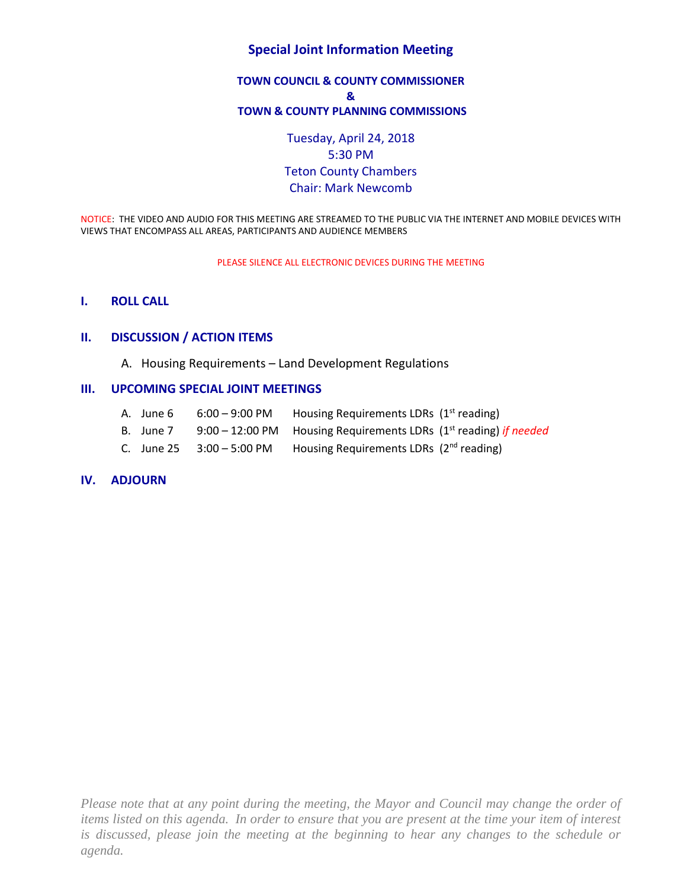## **Special Joint Information Meeting**

## **TOWN COUNCIL & COUNTY COMMISSIONER & TOWN & COUNTY PLANNING COMMISSIONS**

## Tuesday, April 24, 2018 5:30 PM Teton County Chambers Chair: Mark Newcomb

NOTICE: THE VIDEO AND AUDIO FOR THIS MEETING ARE STREAMED TO THE PUBLIC VIA THE INTERNET AND MOBILE DEVICES WITH VIEWS THAT ENCOMPASS ALL AREAS, PARTICIPANTS AND AUDIENCE MEMBERS

#### PLEASE SILENCE ALL ELECTRONIC DEVICES DURING THE MEETING

#### **I. ROLL CALL**

#### **II. DISCUSSION / ACTION ITEMS**

A. Housing Requirements – Land Development Regulations

#### **III. UPCOMING SPECIAL JOINT MEETINGS**

- A. June 6  $6:00 9:00 \text{ PM}$  Housing Requirements LDRs (1<sup>st</sup> reading)
- B. June 7 9:00 12:00 PM Housing Requirements LDRs (1<sup>st</sup> reading) *if needed*
- C. June 25  $3:00 5:00 \text{ PM}$  Housing Requirements LDRs ( $2^{nd}$  reading)

#### **IV. ADJOURN**

*Please note that at any point during the meeting, the Mayor and Council may change the order of items listed on this agenda. In order to ensure that you are present at the time your item of interest is discussed, please join the meeting at the beginning to hear any changes to the schedule or agenda.*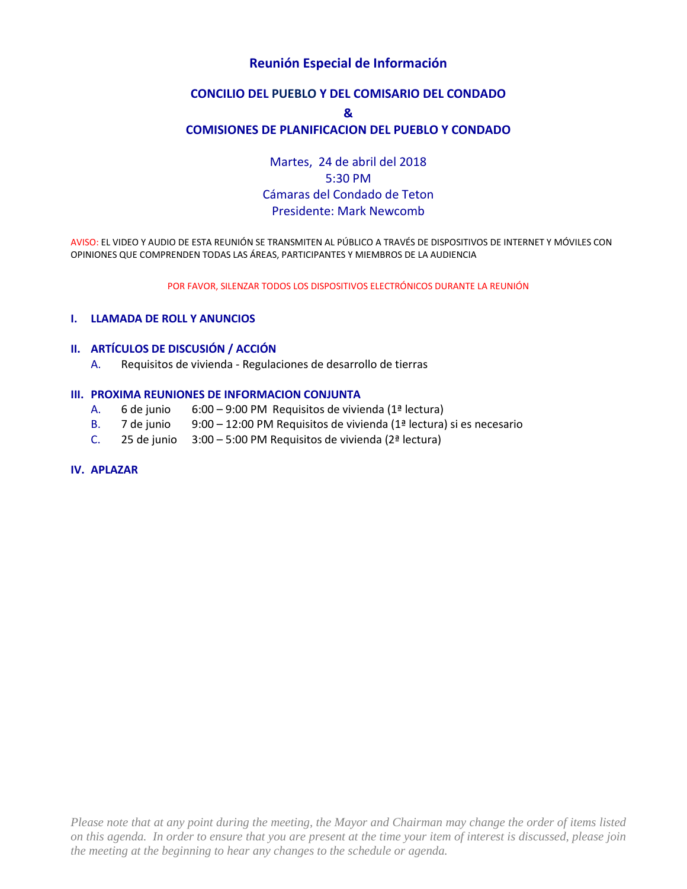## **Reunión Especial de Información**

#### **CONCILIO DEL PUEBLO Y DEL COMISARIO DEL CONDADO**

**&**

## **COMISIONES DE PLANIFICACION DEL PUEBLO Y CONDADO**

Martes, 24 de abril del 2018 5:30 PM Cámaras del Condado de Teton Presidente: Mark Newcomb

AVISO: EL VIDEO Y AUDIO DE ESTA REUNIÓN SE TRANSMITEN AL PÚBLICO A TRAVÉS DE DISPOSITIVOS DE INTERNET Y MÓVILES CON OPINIONES QUE COMPRENDEN TODAS LAS ÁREAS, PARTICIPANTES Y MIEMBROS DE LA AUDIENCIA

POR FAVOR, SILENZAR TODOS LOS DISPOSITIVOS ELECTRÓNICOS DURANTE LA REUNIÓN

#### **I. LLAMADA DE ROLL Y ANUNCIOS**

#### **II. ARTÍCULOS DE DISCUSIÓN / ACCIÓN**

A. Requisitos de vivienda - Regulaciones de desarrollo de tierras

#### **III. PROXIMA REUNIONES DE INFORMACION CONJUNTA**

- A. 6 de junio 6:00 9:00 PM Requisitos de vivienda (1ª lectura)
- B. 7 de junio 9:00 12:00 PM Requisitos de vivienda (1<sup>ª</sup> lectura) si es necesario
- C. 25 de junio 3:00 5:00 PM Requisitos de vivienda (2ª lectura)

#### **IV. APLAZAR**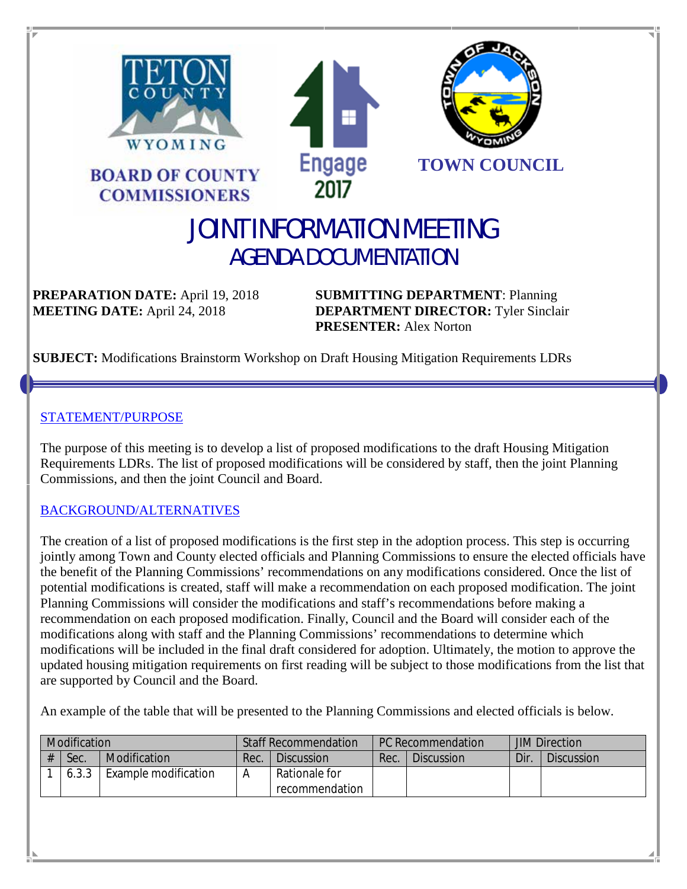

**PREPARATION DATE:** April 19, 2018 **SUBMITTING DEPARTMENT**: Planning **MEETING DATE:** April 24, 2018 **DEPARTMENT DIRECTOR:** Tyler Sinclair **PRESENTER:** Alex Norton

**SUBJECT:** Modifications Brainstorm Workshop on Draft Housing Mitigation Requirements LDRs

## STATEMENT/PURPOSE

The purpose of this meeting is to develop a list of proposed modifications to the draft Housing Mitigation Requirements LDRs. The list of proposed modifications will be considered by staff, then the joint Planning Commissions, and then the joint Council and Board.

## BACKGROUND/ALTERNATIVES

The creation of a list of proposed modifications is the first step in the adoption process. This step is occurring jointly among Town and County elected officials and Planning Commissions to ensure the elected officials have the benefit of the Planning Commissions' recommendations on any modifications considered. Once the list of potential modifications is created, staff will make a recommendation on each proposed modification. The joint Planning Commissions will consider the modifications and staff's recommendations before making a recommendation on each proposed modification. Finally, Council and the Board will consider each of the modifications along with staff and the Planning Commissions' recommendations to determine which modifications will be included in the final draft considered for adoption. Ultimately, the motion to approve the updated housing mitigation requirements on first reading will be subject to those modifications from the list that are supported by Council and the Board.

An example of the table that will be presented to the Planning Commissions and elected officials is below.

| Modification |       | <b>Staff Recommendation</b> |      | PC Recommendation        |  | <b>JIM Direction</b> |     |                   |
|--------------|-------|-----------------------------|------|--------------------------|--|----------------------|-----|-------------------|
|              | Sec.  | Modification                | Rec. | <b>Discussion</b><br>Rec |  | <b>Discussion</b>    | Dir | <b>Discussion</b> |
|              | 6.3.3 | Example modification        |      | Rationale for            |  |                      |     |                   |
|              |       |                             |      | recommendation           |  |                      |     |                   |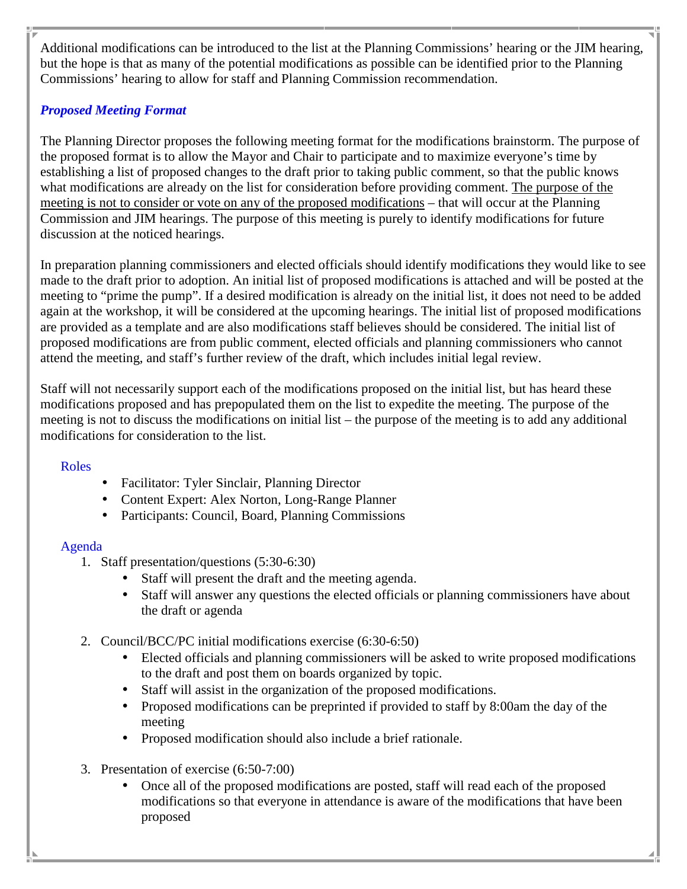Additional modifications can be introduced to the list at the Planning Commissions' hearing or the JIM hearing, but the hope is that as many of the potential modifications as possible can be identified prior to the Planning Commissions' hearing to allow for staff and Planning Commission recommendation.

## *Proposed Meeting Format*

The Planning Director proposes the following meeting format for the modifications brainstorm. The purpose of the proposed format is to allow the Mayor and Chair to participate and to maximize everyone's time by establishing a list of proposed changes to the draft prior to taking public comment, so that the public knows what modifications are already on the list for consideration before providing comment. The purpose of the meeting is not to consider or vote on any of the proposed modifications – that will occur at the Planning Commission and JIM hearings. The purpose of this meeting is purely to identify modifications for future discussion at the noticed hearings.

In preparation planning commissioners and elected officials should identify modifications they would like to see made to the draft prior to adoption. An initial list of proposed modifications is attached and will be posted at the meeting to "prime the pump". If a desired modification is already on the initial list, it does not need to be added again at the workshop, it will be considered at the upcoming hearings. The initial list of proposed modifications are provided as a template and are also modifications staff believes should be considered. The initial list of proposed modifications are from public comment, elected officials and planning commissioners who cannot attend the meeting, and staff's further review of the draft, which includes initial legal review.

Staff will not necessarily support each of the modifications proposed on the initial list, but has heard these modifications proposed and has prepopulated them on the list to expedite the meeting. The purpose of the meeting is not to discuss the modifications on initial list – the purpose of the meeting is to add any additional modifications for consideration to the list.

## Roles

- $\mathbf{r}$ Facilitator: Tyler Sinclair, Planning Director
- Content Expert: Alex Norton, Long-Range Planner
- Participants: Council, Board, Planning Commissions

## Agenda

- 1. Staff presentation/questions (5:30-6:30)
	- Staff will present the draft and the meeting agenda.
	- $\mathcal{L}^{\text{max}}$ Staff will answer any questions the elected officials or planning commissioners have about the draft or agenda
- 2. Council/BCC/PC initial modifications exercise (6:30-6:50)
	- Elected officials and planning commissioners will be asked to write proposed modifications ä, to the draft and post them on boards organized by topic.
	- Staff will assist in the organization of the proposed modifications.
	- Proposed modifications can be preprinted if provided to staff by 8:00am the day of the  $\mathbf{r}^{\prime}$ meeting
	- Proposed modification should also include a brief rationale. L.
- 3. Presentation of exercise (6:50-7:00)
	- Once all of the proposed modifications are posted, staff will read each of the proposed modifications so that everyone in attendance is aware of the modifications that have been proposed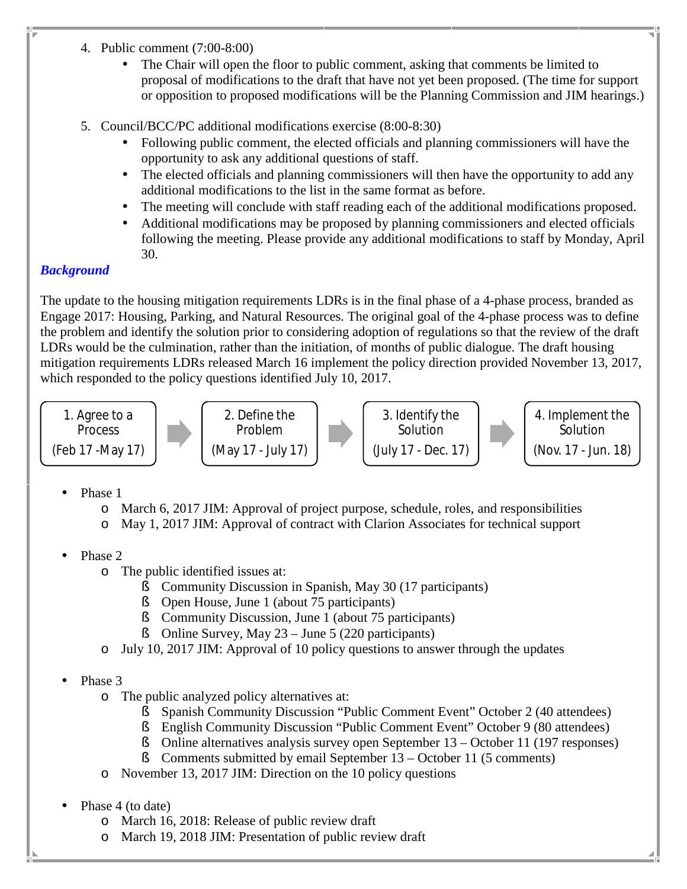- 4. Public comment (7:00-8:00)
	- The Chair will open the floor to public comment, asking that comments be limited to proposal of modifications to the draft that have not yet been proposed. (The time for support or opposition to proposed modifications will be the Planning Commission and JIM hearings.)
- 5. Council/BCC/PC additional modifications exercise (8:00-8:30)
	- Following public comment, the elected officials and planning commissioners will have the opportunity to ask any additional questions of staff.
	- The elected officials and planning commissioners will then have the opportunity to add any  $\mathbf{L}$ additional modifications to the list in the same format as before.
	- The meeting will conclude with staff reading each of the additional modifications proposed.
	- Additional modifications may be proposed by planning commissioners and elected officials following the meeting. Please provide any additional modifications to staff by Monday, April 30.

# *Background*

The update to the housing mitigation requirements LDRs is in the final phase of a 4-phase process, branded as Engage 2017: Housing, Parking, and Natural Resources. The original goal of the 4-phase process was to define the problem and identify the solution prior to considering adoption of regulations so that the review of the draft LDRs would be the culmination, rather than the initiation, of months of public dialogue. The draft housing mitigation requirements LDRs released March 16 implement the policy direction provided November 13, 2017, which responded to the policy questions identified July 10, 2017.



- Phase 1
	- o March 6, 2017 JIM: Approval of project purpose, schedule, roles, and responsibilities
	- o May 1, 2017 JIM: Approval of contract with Clarion Associates for technical support
	- Phase 2
		- o The public identified issues at:
			- § Community Discussion in Spanish, May 30 (17 participants)
			- § Open House, June 1 (about 75 participants)
			- § Community Discussion, June 1 (about 75 participants)
			- **§** Online Survey, May  $23 \text{June } 5 (220 \text{ participants})$
		- $\circ$  July 10, 2017 JIM: Approval of 10 policy questions to answer through the updates
		- Phase 3
			- o The public analyzed policy alternatives at:<br>
			Spanish Community Discussion "Piper
				- § Spanish Community Discussion "Public Comment Event" October 2 (40 attendees)
				- § English Community Discussion "Public Comment Event" October 9 (80 attendees)
				- § Online alternatives analysis survey open September 13 October 11 (197 responses)
				- **§** Comments submitted by email September 13 October 11 (5 comments)
			- o November 13, 2017 JIM: Direction on the 10 policy questions

## Phase 4 (to date)

- o March 16, 2018: Release of public review draft
- o March 19, 2018 JIM: Presentation of public review draft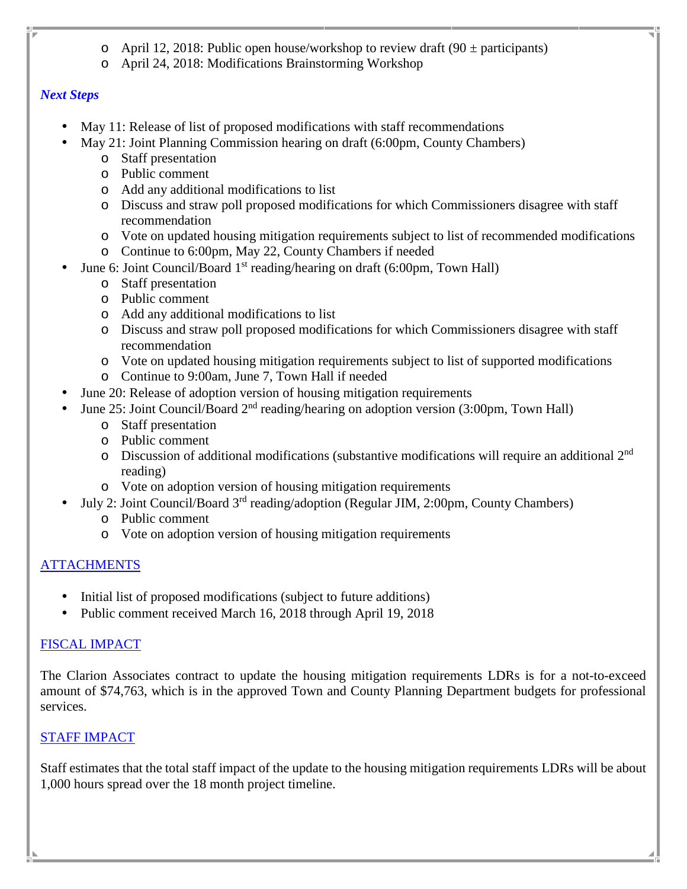- o April 12, 2018: Public open house/workshop to review draft (90  $\pm$  participants)
- o April 24, 2018: Modifications Brainstorming Workshop

## *Next Steps*

- May 11: Release of list of proposed modifications with staff recommendations
	- May 21: Joint Planning Commission hearing on draft (6:00pm, County Chambers)
		- o Staff presentation
		- o Public comment
		- o Add any additional modifications to list
		- o Discuss and straw poll proposed modifications for which Commissioners disagree with staff recommendation
		- o Vote on updated housing mitigation requirements subject to list of recommended modifications
		- o Continue to 6:00pm, May 22, County Chambers if needed
- June 6: Joint Council/Board 1<sup>st</sup> reading/hearing on draft (6:00pm, Town Hall)
	- o Staff presentation
	- o Public comment
	- o Add any additional modifications to list
	- o Discuss and straw poll proposed modifications for which Commissioners disagree with staff recommendation
	- o Vote on updated housing mitigation requirements subject to list of supported modifications
	- o Continue to 9:00am, June 7, Town Hall if needed
- June 20: Release of adoption version of housing mitigation requirements
- June 25: Joint Council/Board 2nd reading/hearing on adoption version (3:00pm, Town Hall)
	- o Staff presentation
	- o Public comment
	- o Discussion of additional modifications (substantive modifications will require an additional 2nd reading)
	- o Vote on adoption version of housing mitigation requirements
- July 2: Joint Council/Board 3rd reading/adoption (Regular JIM, 2:00pm, County Chambers)
	- o Public comment
	- o Vote on adoption version of housing mitigation requirements

# **ATTACHMENTS**

- Initial list of proposed modifications (subject to future additions)
- Public comment received March 16, 2018 through April 19, 2018

## FISCAL IMPACT

The Clarion Associates contract to update the housing mitigation requirements LDRs is for a not-to-exceed amount of \$74,763, which is in the approved Town and County Planning Department budgets for professional services.

# STAFF IMPACT

Staff estimates that the total staff impact of the update to the housing mitigation requirements LDRs will be about 1,000 hours spread over the 18 month project timeline.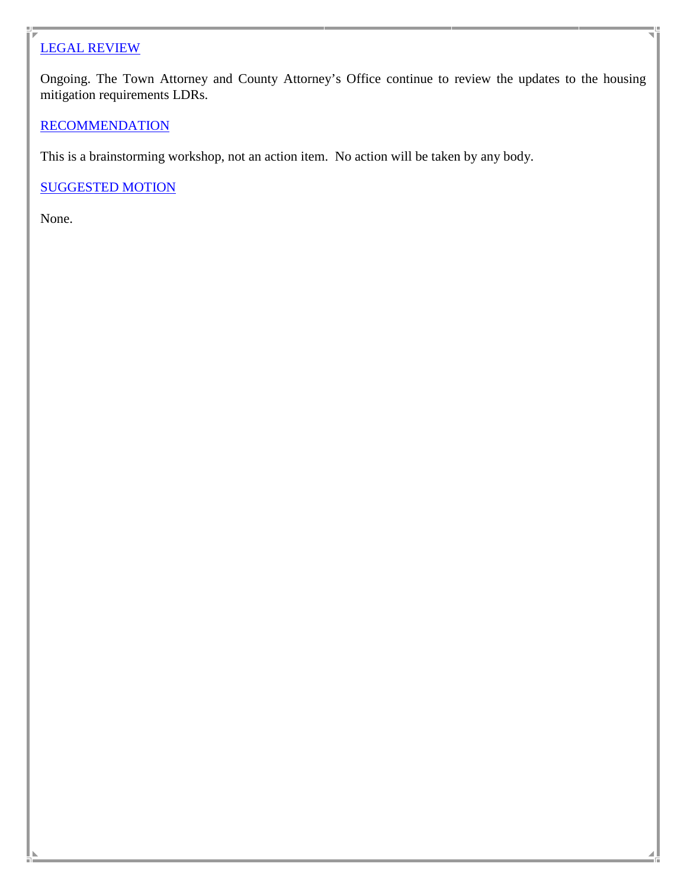## LEGAL REVIEW

Ongoing. The Town Attorney and County Attorney's Office continue to review the updates to the housing mitigation requirements LDRs.

## **RECOMMENDATION**

This is a brainstorming workshop, not an action item. No action will be taken by any body.

SUGGESTED MOTION

None.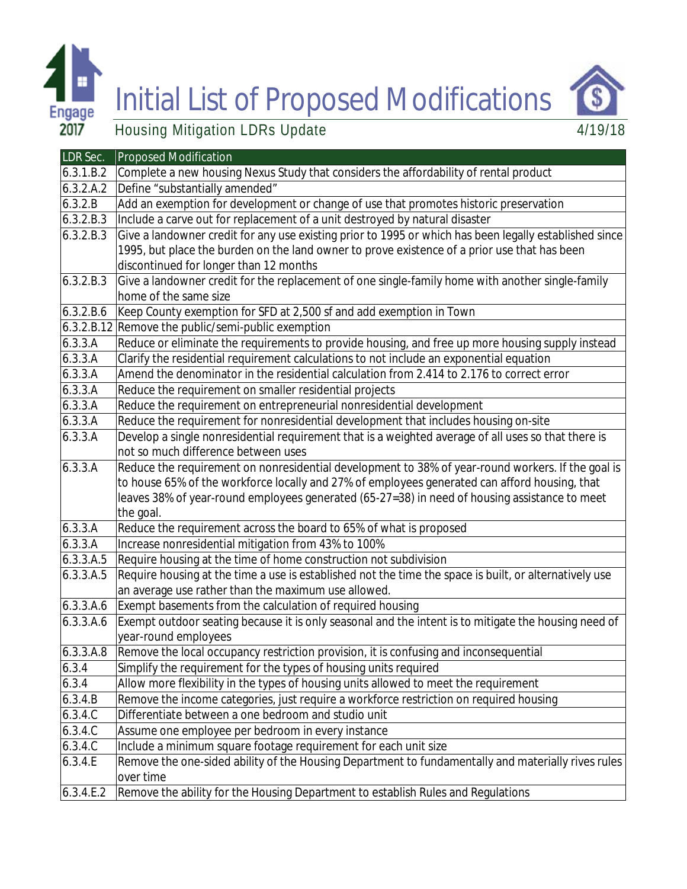Initial List of Proposed Modifications



# Engage<br>2017 Housing Mitigation LDRs Update 4/19/18

| LDR Sec.  | <b>Proposed Modification</b>                                                                           |
|-----------|--------------------------------------------------------------------------------------------------------|
| 6.3.1.B.2 | Complete a new housing Nexus Study that considers the affordability of rental product                  |
| 6.3.2.A.2 | Define "substantially amended"                                                                         |
| 6.3.2.B   | Add an exemption for development or change of use that promotes historic preservation                  |
| 6.3.2.B.3 | Include a carve out for replacement of a unit destroyed by natural disaster                            |
| 6.3.2.B.3 | Give a landowner credit for any use existing prior to 1995 or which has been legally established since |
|           | 1995, but place the burden on the land owner to prove existence of a prior use that has been           |
|           | discontinued for longer than 12 months                                                                 |
| 6.3.2.B.3 | Give a landowner credit for the replacement of one single-family home with another single-family       |
|           | home of the same size                                                                                  |
| 6.3.2.B.6 | Keep County exemption for SFD at 2,500 sf and add exemption in Town                                    |
|           | 6.3.2.B.12 Remove the public/semi-public exemption                                                     |
| 6.3.3.A   | Reduce or eliminate the requirements to provide housing, and free up more housing supply instead       |
| 6.3.3.A   | Clarify the residential requirement calculations to not include an exponential equation                |
| 6.3.3.A   | Amend the denominator in the residential calculation from 2.414 to 2.176 to correct error              |
| 6.3.3.A   | Reduce the requirement on smaller residential projects                                                 |
| 6.3.3.A   | Reduce the requirement on entrepreneurial nonresidential development                                   |
| 6.3.3.A   | Reduce the requirement for nonresidential development that includes housing on-site                    |
| 6.3.3.A   | Develop a single nonresidential requirement that is a weighted average of all uses so that there is    |
|           | not so much difference between uses                                                                    |
| 6.3.3.A   | Reduce the requirement on nonresidential development to 38% of year-round workers. If the goal is      |
|           | to house 65% of the workforce locally and 27% of employees generated can afford housing, that          |
|           | leaves 38% of year-round employees generated (65-27=38) in need of housing assistance to meet          |
|           | the goal.                                                                                              |
| 6.3.3.A   | Reduce the requirement across the board to 65% of what is proposed                                     |
| 6.3.3.A   | Increase nonresidential mitigation from 43% to 100%                                                    |
| 6.3.3.A.5 | Require housing at the time of home construction not subdivision                                       |
| 6.3.3.A.5 | Require housing at the time a use is established not the time the space is built, or alternatively use |
|           | an average use rather than the maximum use allowed.                                                    |
| 6.3.3.A.6 | Exempt basements from the calculation of required housing                                              |
| 6.3.3.A.6 | Exempt outdoor seating because it is only seasonal and the intent is to mitigate the housing need of   |
|           | year-round employees                                                                                   |
| 6.3.3.A.8 | Remove the local occupancy restriction provision, it is confusing and inconsequential                  |
| 6.3.4     | Simplify the requirement for the types of housing units required                                       |
| 6.3.4     | Allow more flexibility in the types of housing units allowed to meet the requirement                   |
| 6.3.4.B   | Remove the income categories, just require a workforce restriction on required housing                 |
| 6.3.4.C   | Differentiate between a one bedroom and studio unit                                                    |
| 6.3.4.C   | Assume one employee per bedroom in every instance                                                      |
| 6.3.4.C   | Include a minimum square footage requirement for each unit size                                        |
| 6.3.4.E   | Remove the one-sided ability of the Housing Department to fundamentally and materially rives rules     |
|           | over time                                                                                              |
| 6.3.4.E.2 | Remove the ability for the Housing Department to establish Rules and Regulations                       |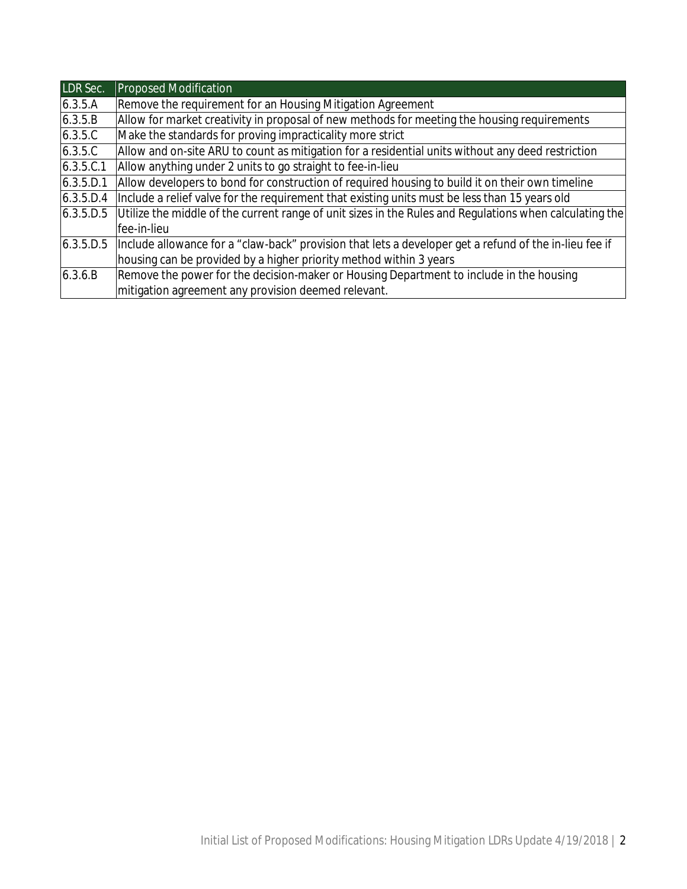| LDR Sec.  | <b>Proposed Modification</b>                                                                            |
|-----------|---------------------------------------------------------------------------------------------------------|
| 6.3.5.A   | Remove the requirement for an Housing Mitigation Agreement                                              |
| 6.3.5.B   | Allow for market creativity in proposal of new methods for meeting the housing requirements             |
| 6.3.5.C   | Make the standards for proving impracticality more strict                                               |
| 6.3.5.C   | Allow and on-site ARU to count as mitigation for a residential units without any deed restriction       |
| 6.3.5.C.1 | Allow anything under 2 units to go straight to fee-in-lieu                                              |
| 6.3.5.D.1 | Allow developers to bond for construction of required housing to build it on their own timeline         |
| 6.3.5.D.4 | Include a relief valve for the requirement that existing units must be less than 15 years old           |
| 6.3.5.D.5 | Utilize the middle of the current range of unit sizes in the Rules and Regulations when calculating the |
|           | fee-in-lieu                                                                                             |
| 6.3.5.D.5 | Include allowance for a "claw-back" provision that lets a developer get a refund of the in-lieu fee if  |
|           | housing can be provided by a higher priority method within 3 years                                      |
| 6.3.6.B   | Remove the power for the decision-maker or Housing Department to include in the housing                 |
|           | mitigation agreement any provision deemed relevant.                                                     |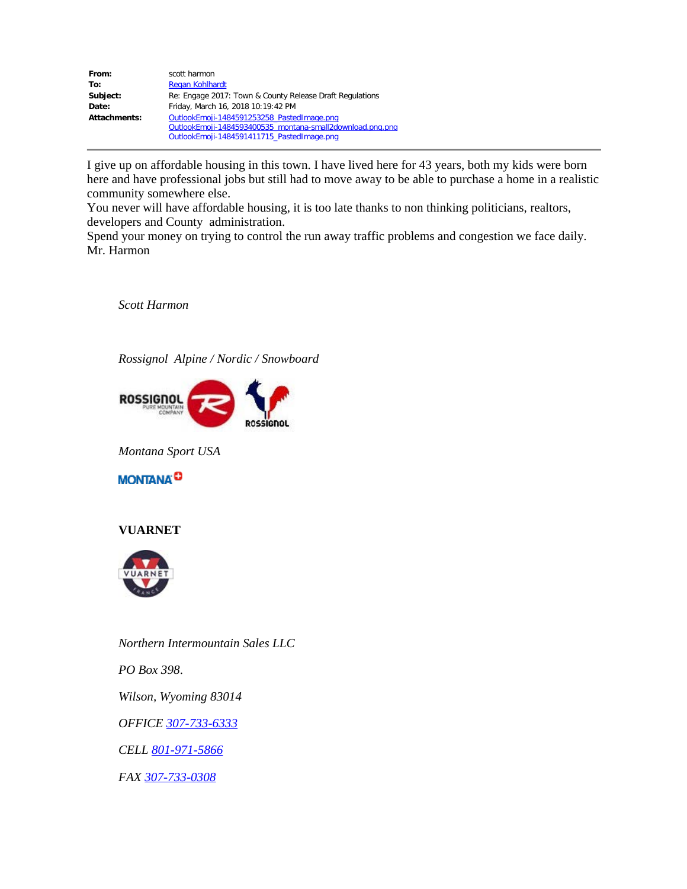| From:        | scott harmon                                              |
|--------------|-----------------------------------------------------------|
| To:          | <b>Regan Kohlhardt</b>                                    |
| Subject:     | Re: Engage 2017: Town & County Release Draft Regulations  |
| Date:        | Friday, March 16, 2018 10:19:42 PM                        |
| Attachments: | OutlookEmoii-1484591253258 PastedImage.png                |
|              | OutlookEmoji-1484593400535 montana-small2download.png.png |
|              | OutlookEmoji-1484591411715 PastedImage.png                |

I give up on affordable housing in this town. I have lived here for 43 years, both my kids were born here and have professional jobs but still had to move away to be able to purchase a home in a realistic community somewhere else.

You never will have affordable housing, it is too late thanks to non thinking politicians, realtors, developers and County administration.

Spend your money on trying to control the run away traffic problems and congestion we face daily. Mr. Harmon

*Scott Harmon*

*Rossignol Alpine / Nordic / Snowboard*



*Montana Sport USA*

**MONTANA<sup>O</sup>** 

## **VUARNET**



*Northern Intermountain Sales LLC PO Box 398*. *Wilson, Wyoming 83014 OFFICE [307-733-6333](tel:307-733-6333) CELL [801-971-5866](tel:801-971-5866) FAX [307-733-0308](tel:307-733-0308)*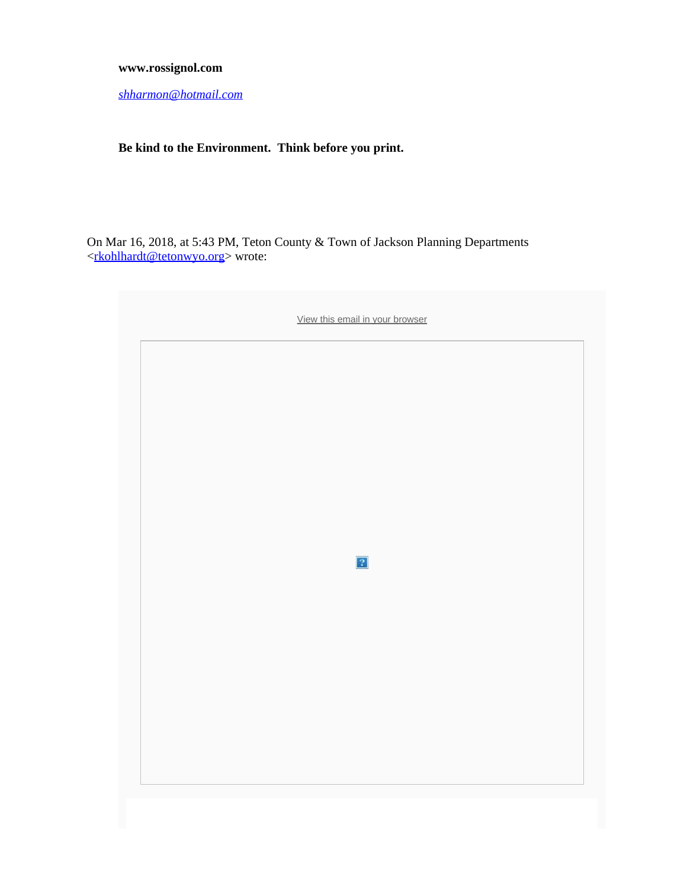## **www.rossignol.com**

*[shharmon@hotmail.com](mailto:shharmon@hotmail.com)*

## **Be kind to the Environment. Think before you print.**

On Mar 16, 2018, at 5:43 PM, Teton County & Town of Jackson Planning Departments <[rkohlhardt@tetonwyo.org](mailto:rkohlhardt@tetonwyo.org)> wrote:

| View this email in your browser |             |  |  |  |  |  |
|---------------------------------|-------------|--|--|--|--|--|
|                                 |             |  |  |  |  |  |
|                                 |             |  |  |  |  |  |
|                                 |             |  |  |  |  |  |
|                                 |             |  |  |  |  |  |
|                                 |             |  |  |  |  |  |
|                                 |             |  |  |  |  |  |
|                                 | $\boxed{?}$ |  |  |  |  |  |
|                                 |             |  |  |  |  |  |
|                                 |             |  |  |  |  |  |
|                                 |             |  |  |  |  |  |
|                                 |             |  |  |  |  |  |
|                                 |             |  |  |  |  |  |
|                                 |             |  |  |  |  |  |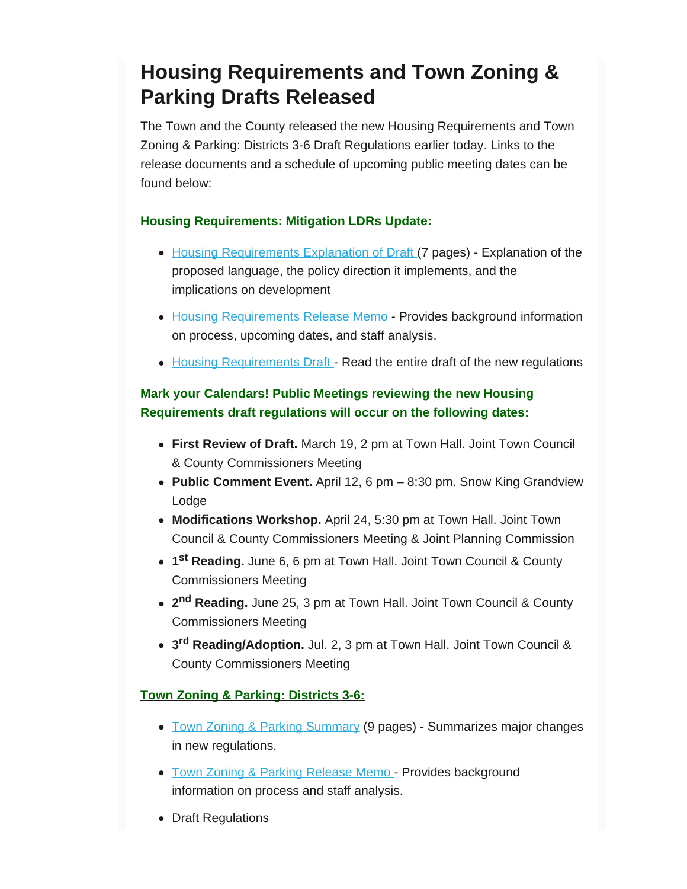# **Housing Requirements and Town Zoning & Parking Drafts Released**

The Town and the County released the new Housing Requirements and Town Zoning & Parking: Districts 3-6 Draft Regulations earlier today. Links to the release documents and a schedule of upcoming public meeting dates can be found below:

## **Housing Requirements: Mitigation LDRs Update:**

- [Housing Requirements](https://jacksontetonplan.us16.list-manage.com/track/click?u=e4559d65f0cd3e01b78d102ca&id=700b0f6eda&e=e8d98cca37) Explanation of Draft (7 pages) Explanation of the proposed language, the policy direction it implements, and the implications on development
- [Housing Requirements](https://jacksontetonplan.us16.list-manage.com/track/click?u=e4559d65f0cd3e01b78d102ca&id=76a48f2517&e=e8d98cca37) Release Memo Provides background information on process, upcoming dates, and staff analysis.
- [Housing Requirements Draft](https://jacksontetonplan.us16.list-manage.com/track/click?u=e4559d65f0cd3e01b78d102ca&id=4e27069bbd&e=e8d98cca37) Read the entire draft of the new regulations

## **Mark your Calendars! Public Meetings reviewing the new Housing Requirements draft regulations will occur on the following dates:**

- **First Review of Draft.** March 19, 2 pm at Town Hall. Joint Town Council & County Commissioners Meeting
- **Public Comment Event.** April 12, 6 pm 8:30 pm. Snow King Grandview Lodge
- **Modifications Workshop.** April 24, 5:30 pm at Town Hall. Joint Town Council & County Commissioners Meeting & Joint Planning Commission
- **1st Reading.** June 6, 6 pm at Town Hall. Joint Town Council & County Commissioners Meeting
- **2nd Reading.** June 25, 3 pm at Town Hall. Joint Town Council & County Commissioners Meeting
- **3rd Reading/Adoption.** Jul. 2, 3 pm at Town Hall. Joint Town Council & County Commissioners Meeting

## **Town Zoning & Parking: Districts 3-6:**

- [Town Zoning & Parking](https://jacksontetonplan.us16.list-manage.com/track/click?u=e4559d65f0cd3e01b78d102ca&id=06734ce273&e=e8d98cca37) Summary (9 pages) Summarizes major changes in new regulations.
- [Town Zoning & Parking Release Memo](https://jacksontetonplan.us16.list-manage.com/track/click?u=e4559d65f0cd3e01b78d102ca&id=0dbee38a73&e=e8d98cca37) Provides background information on process and staff analysis.
- Draft Regulations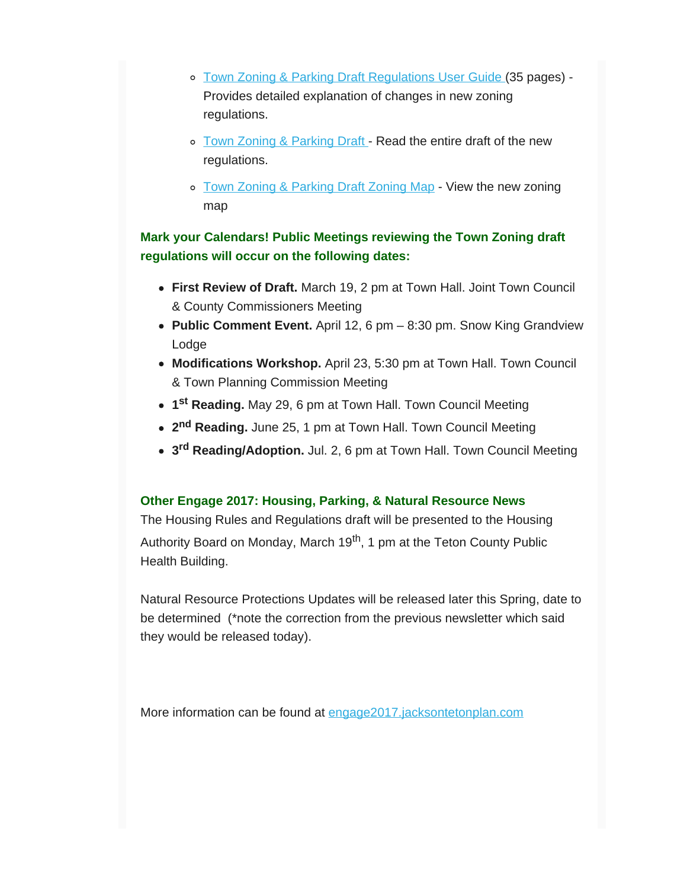- [Town Zoning & Parking Draft Regulations User Guide](https://jacksontetonplan.us16.list-manage.com/track/click?u=e4559d65f0cd3e01b78d102ca&id=4e84badf32&e=e8d98cca37) (35 pages) Provides detailed explanation of changes in new zoning regulations.
- o [Town Zoning & Parking Draft](https://jacksontetonplan.us16.list-manage.com/track/click?u=e4559d65f0cd3e01b78d102ca&id=502ab7fc2c&e=e8d98cca37) Read the entire draft of the new regulations.
- [Town Zoning & Parking Draft Zoning Map](https://jacksontetonplan.us16.list-manage.com/track/click?u=e4559d65f0cd3e01b78d102ca&id=c4419536c7&e=e8d98cca37) View the new zoning map

## **Mark your Calendars! Public Meetings reviewing the Town Zoning draft regulations will occur on the following dates:**

- **First Review of Draft.** March 19, 2 pm at Town Hall. Joint Town Council & County Commissioners Meeting
- **Public Comment Event.** April 12, 6 pm 8:30 pm. Snow King Grandview Lodge
- **Modifications Workshop.** April 23, 5:30 pm at Town Hall. Town Council & Town Planning Commission Meeting
- **1st Reading.** May 29, 6 pm at Town Hall. Town Council Meeting
- **2nd Reading.** June 25, 1 pm at Town Hall. Town Council Meeting
- **3rd Reading/Adoption.** Jul. 2, 6 pm at Town Hall. Town Council Meeting

## **Other Engage 2017: Housing, Parking, & Natural Resource News**

The Housing Rules and Regulations draft will be presented to the Housing Authority Board on Monday, March 19<sup>th</sup>, 1 pm at the Teton County Public Health Building.

Natural Resource Protections Updates will be released later this Spring, date to be determined (\*note the correction from the previous newsletter which said they would be released today).

More information can be found at [engage2017.jacksontetonplan.com](https://jacksontetonplan.us16.list-manage.com/track/click?u=e4559d65f0cd3e01b78d102ca&id=fdf7622d6c&e=e8d98cca37)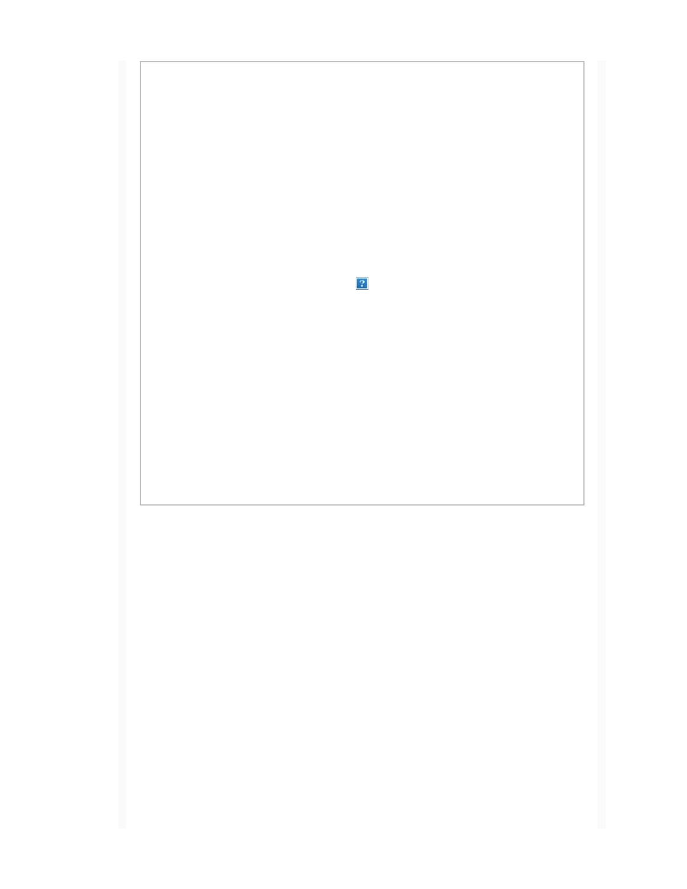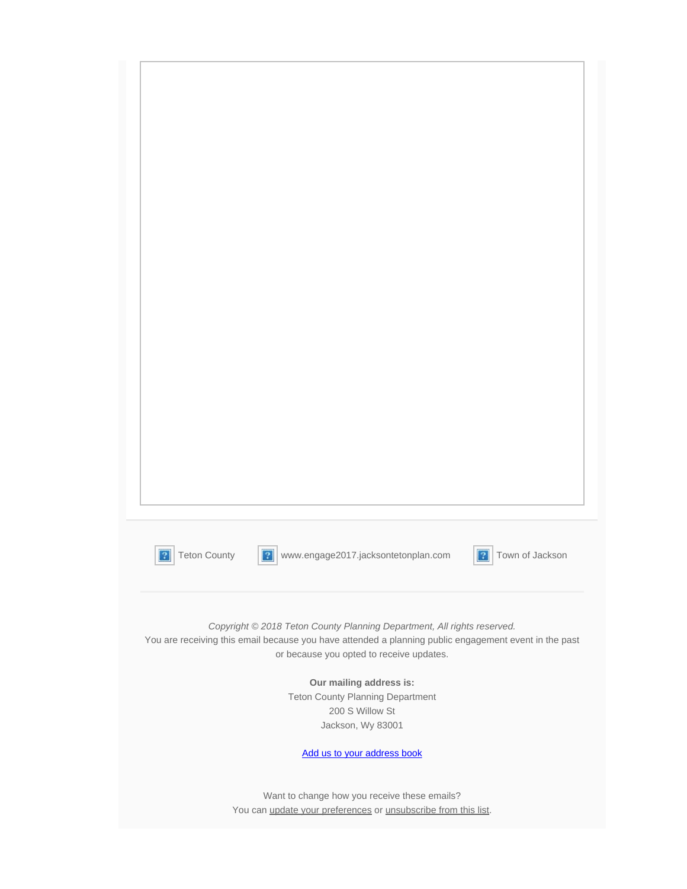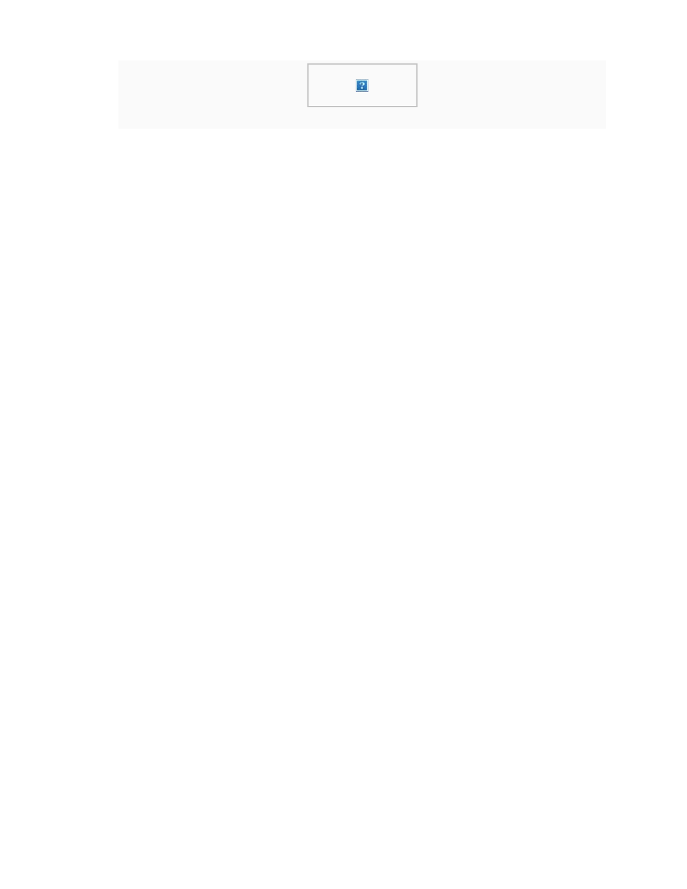| ---- |  |
|------|--|
|      |  |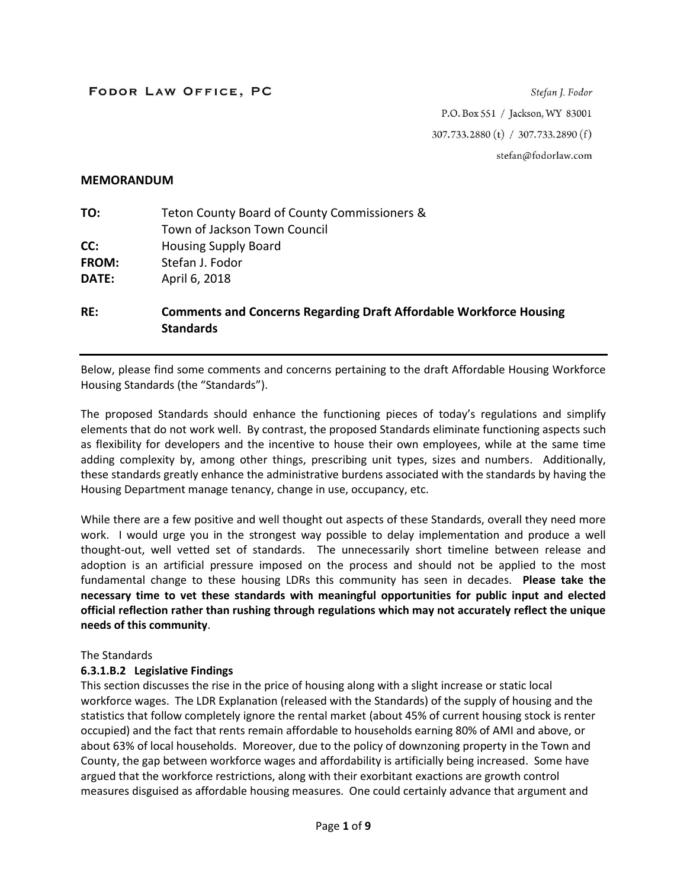#### FODOR LAW OFFICE, PC

Stefan J. Fodor P.O. Box 551 / Jackson, WY 83001 307.733.2880 (t) / 307.733.2890 (f) stefan@fodorlaw.com

#### **MEMORANDUM**

| TO:          | Teton County Board of County Commissioners & |
|--------------|----------------------------------------------|
|              | Town of Jackson Town Council                 |
| CC:          | <b>Housing Supply Board</b>                  |
| <b>FROM:</b> | Stefan J. Fodor                              |
| DATE:        | April 6, 2018                                |
|              |                                              |

## **RE: Comments and Concerns Regarding Draft Affordable Workforce Housing Standards**

Below, please find some comments and concerns pertaining to the draft Affordable Housing Workforce Housing Standards (the "Standards").

The proposed Standards should enhance the functioning pieces of today's regulations and simplify elements that do not work well. By contrast, the proposed Standards eliminate functioning aspects such as flexibility for developers and the incentive to house their own employees, while at the same time adding complexity by, among other things, prescribing unit types, sizes and numbers. Additionally, these standards greatly enhance the administrative burdens associated with the standards by having the Housing Department manage tenancy, change in use, occupancy, etc.

While there are a few positive and well thought out aspects of these Standards, overall they need more work. I would urge you in the strongest way possible to delay implementation and produce a well thought-out, well vetted set of standards. The unnecessarily short timeline between release and adoption is an artificial pressure imposed on the process and should not be applied to the most fundamental change to these housing LDRs this community has seen in decades. **Please take the necessary time to vet these standards with meaningful opportunities for public input and elected official reflection rather than rushing through regulations which may not accurately reflect the unique needs of this community**.

#### The Standards

#### **6.3.1.B.2 Legislative Findings**

This section discusses the rise in the price of housing along with a slight increase or static local workforce wages. The LDR Explanation (released with the Standards) of the supply of housing and the statistics that follow completely ignore the rental market (about 45% of current housing stock is renter occupied) and the fact that rents remain affordable to households earning 80% of AMI and above, or about 63% of local households. Moreover, due to the policy of downzoning property in the Town and County, the gap between workforce wages and affordability is artificially being increased. Some have argued that the workforce restrictions, along with their exorbitant exactions are growth control measures disguised as affordable housing measures. One could certainly advance that argument and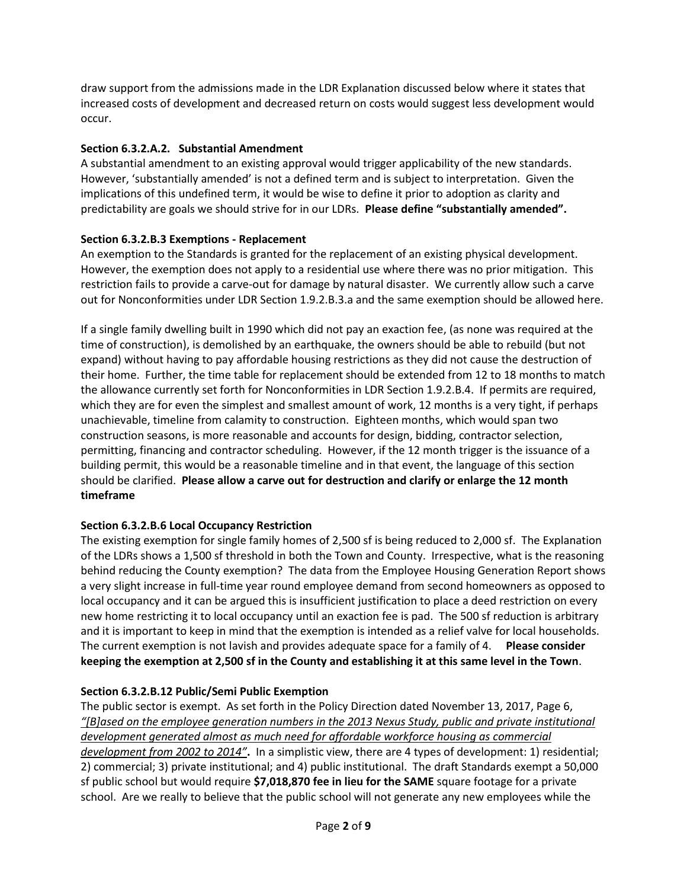draw support from the admissions made in the LDR Explanation discussed below where it states that increased costs of development and decreased return on costs would suggest less development would occur.

## **Section 6.3.2.A.2. Substantial Amendment**

A substantial amendment to an existing approval would trigger applicability of the new standards. However, 'substantially amended' is not a defined term and is subject to interpretation. Given the implications of this undefined term, it would be wise to define it prior to adoption as clarity and predictability are goals we should strive for in our LDRs. **Please define "substantially amended".**

## **Section 6.3.2.B.3 Exemptions - Replacement**

An exemption to the Standards is granted for the replacement of an existing physical development. However, the exemption does not apply to a residential use where there was no prior mitigation. This restriction fails to provide a carve-out for damage by natural disaster. We currently allow such a carve out for Nonconformities under LDR Section 1.9.2.B.3.a and the same exemption should be allowed here.

If a single family dwelling built in 1990 which did not pay an exaction fee, (as none was required at the time of construction), is demolished by an earthquake, the owners should be able to rebuild (but not expand) without having to pay affordable housing restrictions as they did not cause the destruction of their home. Further, the time table for replacement should be extended from 12 to 18 months to match the allowance currently set forth for Nonconformities in LDR Section 1.9.2.B.4. If permits are required, which they are for even the simplest and smallest amount of work, 12 months is a very tight, if perhaps unachievable, timeline from calamity to construction. Eighteen months, which would span two construction seasons, is more reasonable and accounts for design, bidding, contractor selection, permitting, financing and contractor scheduling. However, if the 12 month trigger is the issuance of a building permit, this would be a reasonable timeline and in that event, the language of this section should be clarified. **Please allow a carve out for destruction and clarify or enlarge the 12 month timeframe**

## **Section 6.3.2.B.6 Local Occupancy Restriction**

The existing exemption for single family homes of 2,500 sf is being reduced to 2,000 sf. The Explanation of the LDRs shows a 1,500 sf threshold in both the Town and County. Irrespective, what is the reasoning behind reducing the County exemption? The data from the Employee Housing Generation Report shows a very slight increase in full-time year round employee demand from second homeowners as opposed to local occupancy and it can be argued this is insufficient justification to place a deed restriction on every new home restricting it to local occupancy until an exaction fee is pad. The 500 sf reduction is arbitrary and it is important to keep in mind that the exemption is intended as a relief valve for local households. The current exemption is not lavish and provides adequate space for a family of 4. **Please consider keeping the exemption at 2,500 sf in the County and establishing it at this same level in the Town**.

## **Section 6.3.2.B.12 Public/Semi Public Exemption**

The public sector is exempt. As set forth in the Policy Direction dated November 13, 2017, Page 6, *"[B]ased on the employee generation numbers in the 2013 Nexus Study, public and private institutional development generated almost as much need for affordable workforce housing as commercial development from 2002 to 2014"***.** In a simplistic view, there are 4 types of development: 1) residential; 2) commercial; 3) private institutional; and 4) public institutional. The draft Standards exempt a 50,000 sf public school but would require **\$7,018,870 fee in lieu for the SAME** square footage for a private school. Are we really to believe that the public school will not generate any new employees while the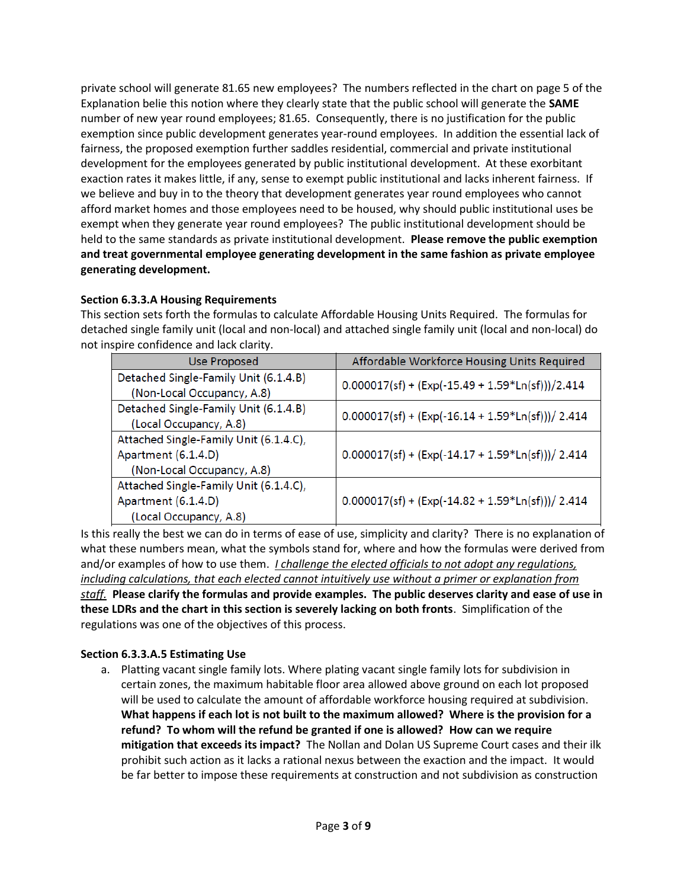private school will generate 81.65 new employees? The numbers reflected in the chart on page 5 of the Explanation belie this notion where they clearly state that the public school will generate the **SAME** number of new year round employees; 81.65. Consequently, there is no justification for the public exemption since public development generates year-round employees. In addition the essential lack of fairness, the proposed exemption further saddles residential, commercial and private institutional development for the employees generated by public institutional development. At these exorbitant exaction rates it makes little, if any, sense to exempt public institutional and lacks inherent fairness. If we believe and buy in to the theory that development generates year round employees who cannot afford market homes and those employees need to be housed, why should public institutional uses be exempt when they generate year round employees? The public institutional development should be held to the same standards as private institutional development. **Please remove the public exemption and treat governmental employee generating development in the same fashion as private employee generating development.** 

## **Section 6.3.3.A Housing Requirements**

This section sets forth the formulas to calculate Affordable Housing Units Required. The formulas for detached single family unit (local and non-local) and attached single family unit (local and non-local) do not inspire confidence and lack clarity.

| <b>Use Proposed</b>                    | Affordable Workforce Housing Units Required          |  |  |
|----------------------------------------|------------------------------------------------------|--|--|
| Detached Single-Family Unit (6.1.4.B)  | $0.000017(sf) + (Exp(-15.49 + 1.59*Ln(sf)))/2.414$   |  |  |
| (Non-Local Occupancy, A.8)             |                                                      |  |  |
| Detached Single-Family Unit (6.1.4.B)  | $0.000017(sf) + (Exp(-16.14 + 1.59*Ln(sf)))/2.414$   |  |  |
| (Local Occupancy, A.8)                 |                                                      |  |  |
| Attached Single-Family Unit (6.1.4.C), |                                                      |  |  |
| Apartment (6.1.4.D)                    | $0.000017(sf) + (Exp(-14.17 + 1.59 * Ln(sf)))/2.414$ |  |  |
| (Non-Local Occupancy, A.8)             |                                                      |  |  |
| Attached Single-Family Unit (6.1.4.C), |                                                      |  |  |
| Apartment (6.1.4.D)                    | $0.000017(sf) + (Exp(-14.82 + 1.59 * Ln(sf)))/2.414$ |  |  |
| (Local Occupancy, A.8)                 |                                                      |  |  |

Is this really the best we can do in terms of ease of use, simplicity and clarity? There is no explanation of what these numbers mean, what the symbols stand for, where and how the formulas were derived from and/or examples of how to use them. *I challenge the elected officials to not adopt any regulations, including calculations, that each elected cannot intuitively use without a primer or explanation from staff.* **Please clarify the formulas and provide examples. The public deserves clarity and ease of use in these LDRs and the chart in this section is severely lacking on both fronts**. Simplification of the regulations was one of the objectives of this process.

## **Section 6.3.3.A.5 Estimating Use**

a. Platting vacant single family lots. Where plating vacant single family lots for subdivision in certain zones, the maximum habitable floor area allowed above ground on each lot proposed will be used to calculate the amount of affordable workforce housing required at subdivision. **What happens if each lot is not built to the maximum allowed? Where is the provision for a refund? To whom will the refund be granted if one is allowed? How can we require mitigation that exceeds its impact?** The Nollan and Dolan US Supreme Court cases and their ilk prohibit such action as it lacks a rational nexus between the exaction and the impact. It would be far better to impose these requirements at construction and not subdivision as construction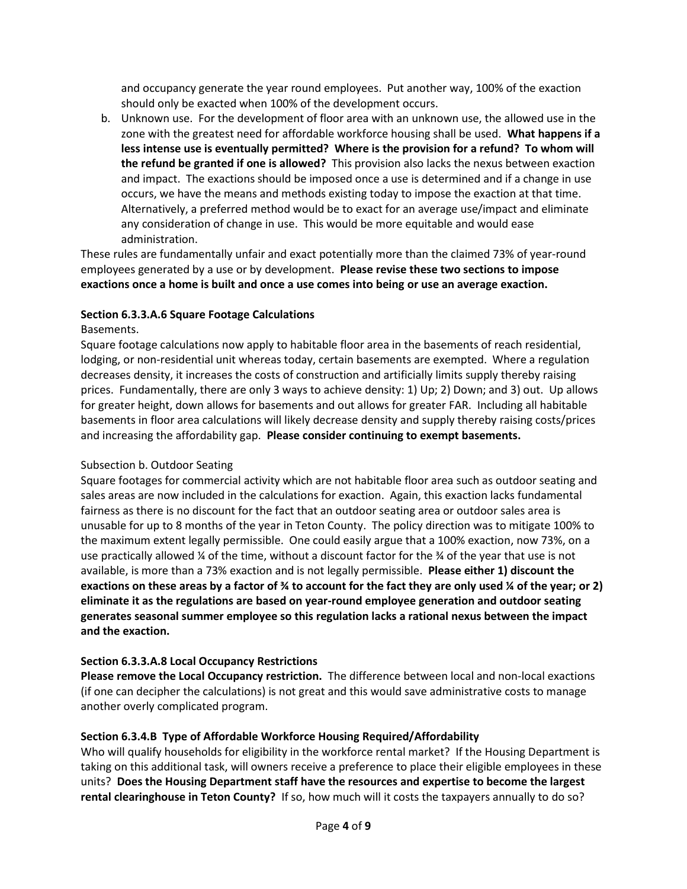and occupancy generate the year round employees. Put another way, 100% of the exaction should only be exacted when 100% of the development occurs.

b. Unknown use. For the development of floor area with an unknown use, the allowed use in the zone with the greatest need for affordable workforce housing shall be used. **What happens if a less intense use is eventually permitted? Where is the provision for a refund? To whom will the refund be granted if one is allowed?** This provision also lacks the nexus between exaction and impact. The exactions should be imposed once a use is determined and if a change in use occurs, we have the means and methods existing today to impose the exaction at that time. Alternatively, a preferred method would be to exact for an average use/impact and eliminate any consideration of change in use. This would be more equitable and would ease administration.

These rules are fundamentally unfair and exact potentially more than the claimed 73% of year-round employees generated by a use or by development. **Please revise these two sections to impose exactions once a home is built and once a use comes into being or use an average exaction.**

## **Section 6.3.3.A.6 Square Footage Calculations**

#### Basements.

Square footage calculations now apply to habitable floor area in the basements of reach residential, lodging, or non-residential unit whereas today, certain basements are exempted. Where a regulation decreases density, it increases the costs of construction and artificially limits supply thereby raising prices. Fundamentally, there are only 3 ways to achieve density: 1) Up; 2) Down; and 3) out. Up allows for greater height, down allows for basements and out allows for greater FAR. Including all habitable basements in floor area calculations will likely decrease density and supply thereby raising costs/prices and increasing the affordability gap. **Please consider continuing to exempt basements.**

#### Subsection b. Outdoor Seating

Square footages for commercial activity which are not habitable floor area such as outdoor seating and sales areas are now included in the calculations for exaction. Again, this exaction lacks fundamental fairness as there is no discount for the fact that an outdoor seating area or outdoor sales area is unusable for up to 8 months of the year in Teton County. The policy direction was to mitigate 100% to the maximum extent legally permissible. One could easily argue that a 100% exaction, now 73%, on a use practically allowed ¼ of the time, without a discount factor for the ¾ of the year that use is not available, is more than a 73% exaction and is not legally permissible. **Please either 1) discount the exactions on these areas by a factor of ¾ to account for the fact they are only used ¼ of the year; or 2) eliminate it as the regulations are based on year-round employee generation and outdoor seating generates seasonal summer employee so this regulation lacks a rational nexus between the impact and the exaction.**

## **Section 6.3.3.A.8 Local Occupancy Restrictions**

**Please remove the Local Occupancy restriction.** The difference between local and non-local exactions (if one can decipher the calculations) is not great and this would save administrative costs to manage another overly complicated program.

## **Section 6.3.4.B Type of Affordable Workforce Housing Required/Affordability**

Who will qualify households for eligibility in the workforce rental market? If the Housing Department is taking on this additional task, will owners receive a preference to place their eligible employees in these units? **Does the Housing Department staff have the resources and expertise to become the largest rental clearinghouse in Teton County?** If so, how much will it costs the taxpayers annually to do so?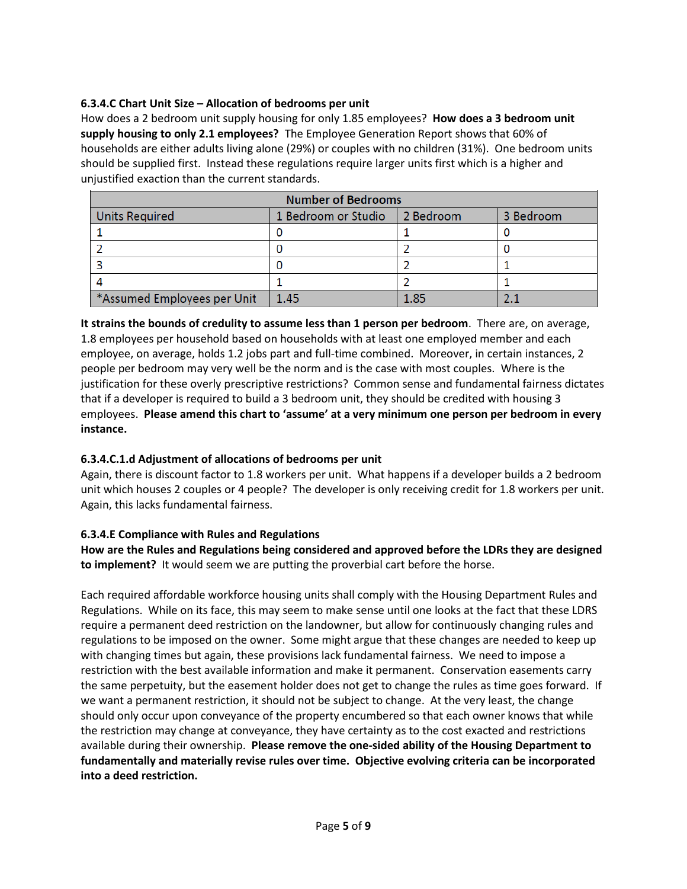## **6.3.4.C Chart Unit Size – Allocation of bedrooms per unit**

How does a 2 bedroom unit supply housing for only 1.85 employees? **How does a 3 bedroom unit supply housing to only 2.1 employees?** The Employee Generation Report shows that 60% of households are either adults living alone (29%) or couples with no children (31%). One bedroom units should be supplied first. Instead these regulations require larger units first which is a higher and unjustified exaction than the current standards.

| <b>Number of Bedrooms</b>   |                     |           |           |  |  |  |
|-----------------------------|---------------------|-----------|-----------|--|--|--|
| <b>Units Required</b>       | 1 Bedroom or Studio | 2 Bedroom | 3 Bedroom |  |  |  |
|                             |                     |           |           |  |  |  |
|                             |                     |           |           |  |  |  |
|                             |                     |           |           |  |  |  |
|                             |                     |           |           |  |  |  |
| *Assumed Employees per Unit | 1.45                | 1.85      | 2.1       |  |  |  |

**It strains the bounds of credulity to assume less than 1 person per bedroom**. There are, on average, 1.8 employees per household based on households with at least one employed member and each employee, on average, holds 1.2 jobs part and full-time combined. Moreover, in certain instances, 2 people per bedroom may very well be the norm and is the case with most couples. Where is the justification for these overly prescriptive restrictions? Common sense and fundamental fairness dictates that if a developer is required to build a 3 bedroom unit, they should be credited with housing 3 employees. **Please amend this chart to 'assume' at a very minimum one person per bedroom in every instance.**

## **6.3.4.C.1.d Adjustment of allocations of bedrooms per unit**

Again, there is discount factor to 1.8 workers per unit. What happens if a developer builds a 2 bedroom unit which houses 2 couples or 4 people? The developer is only receiving credit for 1.8 workers per unit. Again, this lacks fundamental fairness.

#### **6.3.4.E Compliance with Rules and Regulations**

**How are the Rules and Regulations being considered and approved before the LDRs they are designed to implement?** It would seem we are putting the proverbial cart before the horse.

Each required affordable workforce housing units shall comply with the Housing Department Rules and Regulations. While on its face, this may seem to make sense until one looks at the fact that these LDRS require a permanent deed restriction on the landowner, but allow for continuously changing rules and regulations to be imposed on the owner. Some might argue that these changes are needed to keep up with changing times but again, these provisions lack fundamental fairness. We need to impose a restriction with the best available information and make it permanent. Conservation easements carry the same perpetuity, but the easement holder does not get to change the rules as time goes forward. If we want a permanent restriction, it should not be subject to change. At the very least, the change should only occur upon conveyance of the property encumbered so that each owner knows that while the restriction may change at conveyance, they have certainty as to the cost exacted and restrictions available during their ownership. **Please remove the one-sided ability of the Housing Department to fundamentally and materially revise rules over time. Objective evolving criteria can be incorporated into a deed restriction.**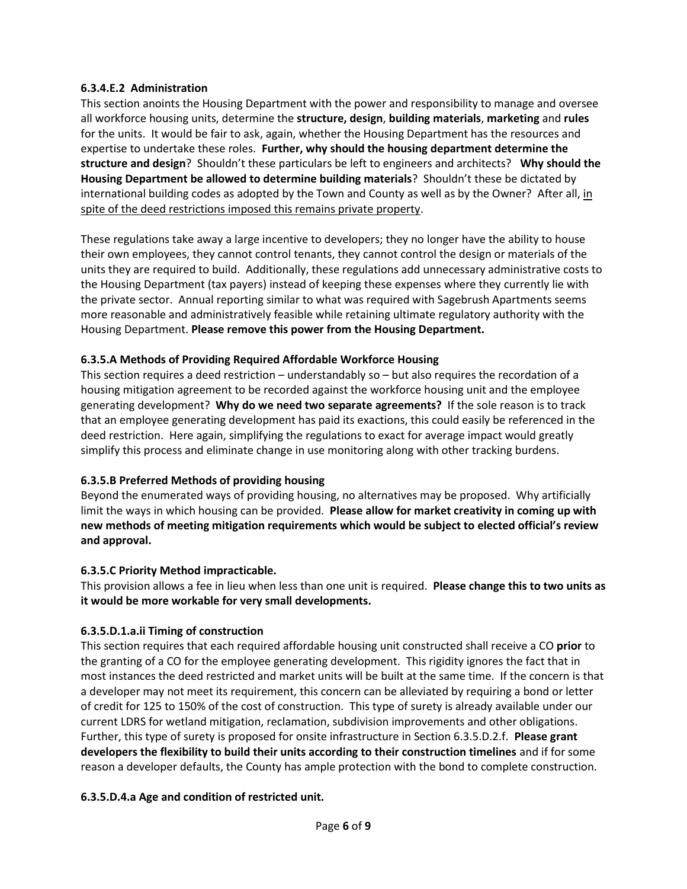## **6.3.4.E.2 Administration**

This section anoints the Housing Department with the power and responsibility to manage and oversee all workforce housing units, determine the **structure, design**, **building materials**, **marketing** and **rules** for the units. It would be fair to ask, again, whether the Housing Department has the resources and expertise to undertake these roles. **Further, why should the housing department determine the structure and design**? Shouldn't these particulars be left to engineers and architects? **Why should the Housing Department be allowed to determine building materials**? Shouldn't these be dictated by international building codes as adopted by the Town and County as well as by the Owner? After all, in spite of the deed restrictions imposed this remains private property.

These regulations take away a large incentive to developers; they no longer have the ability to house their own employees, they cannot control tenants, they cannot control the design or materials of the units they are required to build. Additionally, these regulations add unnecessary administrative costs to the Housing Department (tax payers) instead of keeping these expenses where they currently lie with the private sector. Annual reporting similar to what was required with Sagebrush Apartments seems more reasonable and administratively feasible while retaining ultimate regulatory authority with the Housing Department. **Please remove this power from the Housing Department.**

## **6.3.5.A Methods of Providing Required Affordable Workforce Housing**

This section requires a deed restriction – understandably so – but also requires the recordation of a housing mitigation agreement to be recorded against the workforce housing unit and the employee generating development? **Why do we need two separate agreements?** If the sole reason is to track that an employee generating development has paid its exactions, this could easily be referenced in the deed restriction. Here again, simplifying the regulations to exact for average impact would greatly simplify this process and eliminate change in use monitoring along with other tracking burdens.

## **6.3.5.B Preferred Methods of providing housing**

Beyond the enumerated ways of providing housing, no alternatives may be proposed. Why artificially limit the ways in which housing can be provided. **Please allow for market creativity in coming up with new methods of meeting mitigation requirements which would be subject to elected official's review and approval.** 

## **6.3.5.C Priority Method impracticable.**

This provision allows a fee in lieu when less than one unit is required. **Please change this to two units as it would be more workable for very small developments.**

#### **6.3.5.D.1.a.ii Timing of construction**

This section requires that each required affordable housing unit constructed shall receive a CO **prior** to the granting of a CO for the employee generating development. This rigidity ignores the fact that in most instances the deed restricted and market units will be built at the same time. If the concern is that a developer may not meet its requirement, this concern can be alleviated by requiring a bond or letter of credit for 125 to 150% of the cost of construction. This type of surety is already available under our current LDRS for wetland mitigation, reclamation, subdivision improvements and other obligations. Further, this type of surety is proposed for onsite infrastructure in Section 6.3.5.D.2.f. **Please grant developers the flexibility to build their units according to their construction timelines** and if for some reason a developer defaults, the County has ample protection with the bond to complete construction.

## **6.3.5.D.4.a Age and condition of restricted unit.**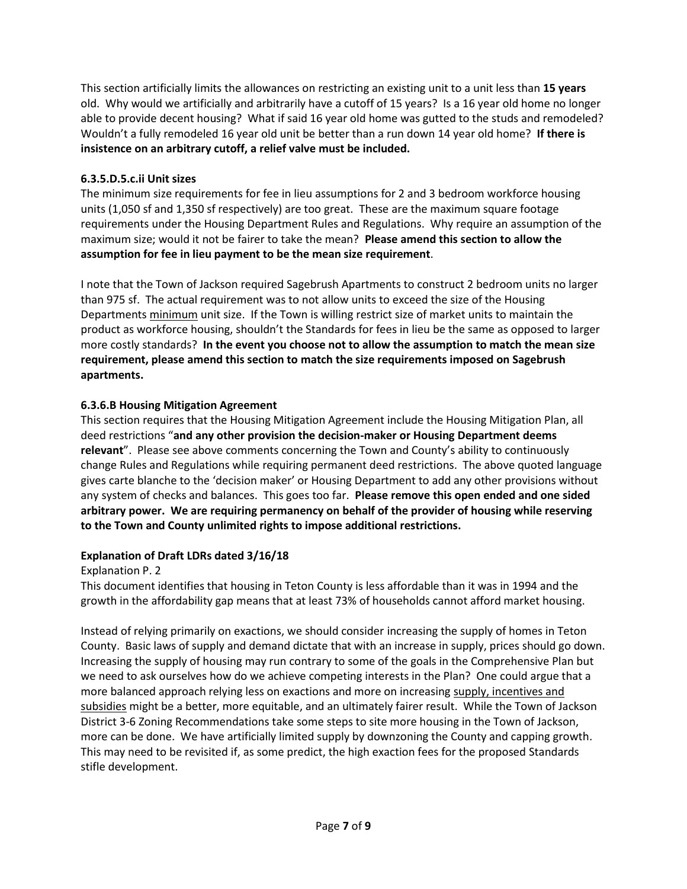This section artificially limits the allowances on restricting an existing unit to a unit less than **15 years** old. Why would we artificially and arbitrarily have a cutoff of 15 years? Is a 16 year old home no longer able to provide decent housing? What if said 16 year old home was gutted to the studs and remodeled? Wouldn't a fully remodeled 16 year old unit be better than a run down 14 year old home? **If there is insistence on an arbitrary cutoff, a relief valve must be included.**

## **6.3.5.D.5.c.ii Unit sizes**

The minimum size requirements for fee in lieu assumptions for 2 and 3 bedroom workforce housing units (1,050 sf and 1,350 sf respectively) are too great. These are the maximum square footage requirements under the Housing Department Rules and Regulations. Why require an assumption of the maximum size; would it not be fairer to take the mean? **Please amend this section to allow the assumption for fee in lieu payment to be the mean size requirement**.

I note that the Town of Jackson required Sagebrush Apartments to construct 2 bedroom units no larger than 975 sf. The actual requirement was to not allow units to exceed the size of the Housing Departments minimum unit size. If the Town is willing restrict size of market units to maintain the product as workforce housing, shouldn't the Standards for fees in lieu be the same as opposed to larger more costly standards? **In the event you choose not to allow the assumption to match the mean size requirement, please amend this section to match the size requirements imposed on Sagebrush apartments.** 

## **6.3.6.B Housing Mitigation Agreement**

This section requires that the Housing Mitigation Agreement include the Housing Mitigation Plan, all deed restrictions "**and any other provision the decision-maker or Housing Department deems relevant**". Please see above comments concerning the Town and County's ability to continuously change Rules and Regulations while requiring permanent deed restrictions. The above quoted language gives carte blanche to the 'decision maker' or Housing Department to add any other provisions without any system of checks and balances. This goes too far. **Please remove this open ended and one sided arbitrary power. We are requiring permanency on behalf of the provider of housing while reserving to the Town and County unlimited rights to impose additional restrictions.**

## **Explanation of Draft LDRs dated 3/16/18**

Explanation P. 2 This document identifies that housing in Teton County is less affordable than it was in 1994 and the growth in the affordability gap means that at least 73% of households cannot afford market housing.

Instead of relying primarily on exactions, we should consider increasing the supply of homes in Teton County. Basic laws of supply and demand dictate that with an increase in supply, prices should go down. Increasing the supply of housing may run contrary to some of the goals in the Comprehensive Plan but we need to ask ourselves how do we achieve competing interests in the Plan? One could argue that a more balanced approach relying less on exactions and more on increasing supply, incentives and subsidies might be a better, more equitable, and an ultimately fairer result. While the Town of Jackson District 3-6 Zoning Recommendations take some steps to site more housing in the Town of Jackson, more can be done. We have artificially limited supply by downzoning the County and capping growth. This may need to be revisited if, as some predict, the high exaction fees for the proposed Standards stifle development.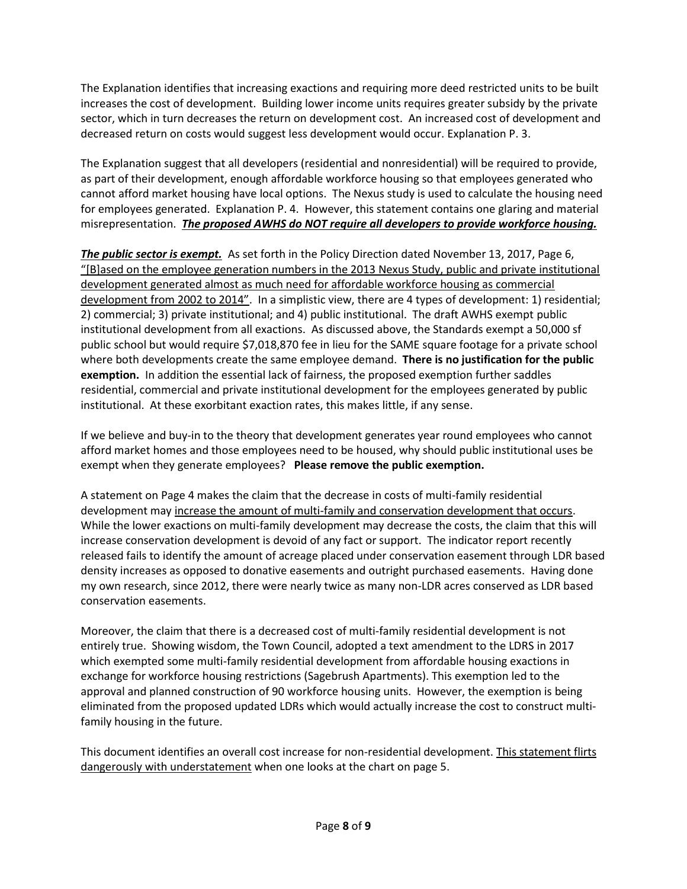The Explanation identifies that increasing exactions and requiring more deed restricted units to be built increases the cost of development. Building lower income units requires greater subsidy by the private sector, which in turn decreases the return on development cost. An increased cost of development and decreased return on costs would suggest less development would occur. Explanation P. 3.

The Explanation suggest that all developers (residential and nonresidential) will be required to provide, as part of their development, enough affordable workforce housing so that employees generated who cannot afford market housing have local options. The Nexus study is used to calculate the housing need for employees generated. Explanation P. 4. However, this statement contains one glaring and material misrepresentation. *The proposed AWHS do NOT require all developers to provide workforce housing.*

*The public sector is exempt.* As set forth in the Policy Direction dated November 13, 2017, Page 6, "[B]ased on the employee generation numbers in the 2013 Nexus Study, public and private institutional development generated almost as much need for affordable workforce housing as commercial development from 2002 to 2014". In a simplistic view, there are 4 types of development: 1) residential; 2) commercial; 3) private institutional; and 4) public institutional. The draft AWHS exempt public institutional development from all exactions. As discussed above, the Standards exempt a 50,000 sf public school but would require \$7,018,870 fee in lieu for the SAME square footage for a private school where both developments create the same employee demand. **There is no justification for the public exemption.** In addition the essential lack of fairness, the proposed exemption further saddles residential, commercial and private institutional development for the employees generated by public institutional. At these exorbitant exaction rates, this makes little, if any sense.

If we believe and buy-in to the theory that development generates year round employees who cannot afford market homes and those employees need to be housed, why should public institutional uses be exempt when they generate employees? **Please remove the public exemption.**

A statement on Page 4 makes the claim that the decrease in costs of multi-family residential development may increase the amount of multi-family and conservation development that occurs. While the lower exactions on multi-family development may decrease the costs, the claim that this will increase conservation development is devoid of any fact or support. The indicator report recently released fails to identify the amount of acreage placed under conservation easement through LDR based density increases as opposed to donative easements and outright purchased easements. Having done my own research, since 2012, there were nearly twice as many non-LDR acres conserved as LDR based conservation easements.

Moreover, the claim that there is a decreased cost of multi-family residential development is not entirely true. Showing wisdom, the Town Council, adopted a text amendment to the LDRS in 2017 which exempted some multi-family residential development from affordable housing exactions in exchange for workforce housing restrictions (Sagebrush Apartments). This exemption led to the approval and planned construction of 90 workforce housing units. However, the exemption is being eliminated from the proposed updated LDRs which would actually increase the cost to construct multifamily housing in the future.

This document identifies an overall cost increase for non-residential development. This statement flirts dangerously with understatement when one looks at the chart on page 5.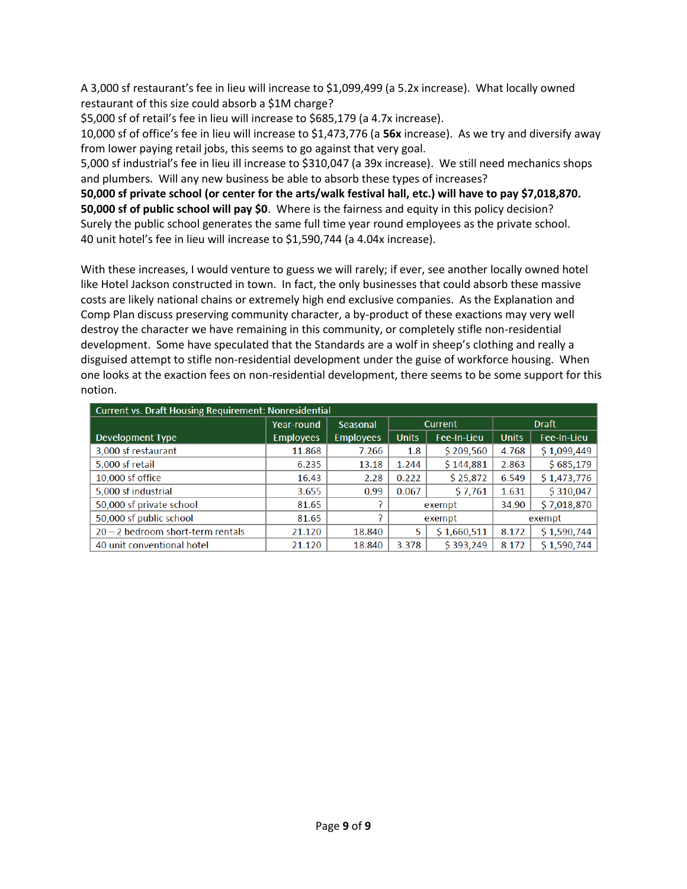A 3,000 sf restaurant's fee in lieu will increase to \$1,099,499 (a 5.2x increase). What locally owned restaurant of this size could absorb a \$1M charge?

\$5,000 sf of retail's fee in lieu will increase to \$685,179 (a 4.7x increase).

10,000 sf of office's fee in lieu will increase to \$1,473,776 (a **56x** increase). As we try and diversify away from lower paying retail jobs, this seems to go against that very goal.

5,000 sf industrial's fee in lieu ill increase to \$310,047 (a 39x increase). We still need mechanics shops and plumbers. Will any new business be able to absorb these types of increases?

**50,000 sf private school (or center for the arts/walk festival hall, etc.) will have to pay \$7,018,870. 50,000 sf of public school will pay \$0**. Where is the fairness and equity in this policy decision? Surely the public school generates the same full time year round employees as the private school. 40 unit hotel's fee in lieu will increase to \$1,590,744 (a 4.04x increase).

With these increases, I would venture to guess we will rarely; if ever, see another locally owned hotel like Hotel Jackson constructed in town. In fact, the only businesses that could absorb these massive costs are likely national chains or extremely high end exclusive companies. As the Explanation and Comp Plan discuss preserving community character, a by-product of these exactions may very well destroy the character we have remaining in this community, or completely stifle non-residential development. Some have speculated that the Standards are a wolf in sheep's clothing and really a disguised attempt to stifle non-residential development under the guise of workforce housing. When one looks at the exaction fees on non-residential development, there seems to be some support for this notion.

| <b>Current vs. Draft Housing Requirement: Nonresidential</b> |                  |                  |              |             |              |             |  |
|--------------------------------------------------------------|------------------|------------------|--------------|-------------|--------------|-------------|--|
|                                                              | Year-round       | Seasonal         | Current      |             | Draft        |             |  |
| <b>Development Type</b>                                      | <b>Employees</b> | <b>Employees</b> | <b>Units</b> | Fee-In-Lieu | <b>Units</b> | Fee-In-Lieu |  |
| 3,000 sf restaurant                                          | 11.868           | 7.266            | 1.8          | \$209,560   | 4.768        | \$1,099,449 |  |
| 5,000 sf retail                                              | 6.235            | 13.18            | 1.244        | \$144,881   | 2.863        | \$685,179   |  |
| $10,000$ sf office                                           | 16.43            | 2.28             | 0.222        | \$25,872    | 6.549        | \$1,473,776 |  |
| 5,000 sf industrial                                          | 3.655            | 0.99             | 0.067        | \$7,761     | 1.631        | \$310,047   |  |
| 50,000 sf private school                                     | 81.65            | exempt           |              |             | 34.90        | \$7,018,870 |  |
| 50,000 sf public school                                      | 81.65            |                  | exempt       |             |              | exempt      |  |
| 20 - 2 bedroom short-term rentals                            | 21.120           | 18.840           | 5            | \$1,660,511 | 8.172        | \$1,590,744 |  |
| 40 unit conventional hotel                                   | 21.120           | 18.840           | 3.378        | \$393.249   | 8.172        | \$1,590,744 |  |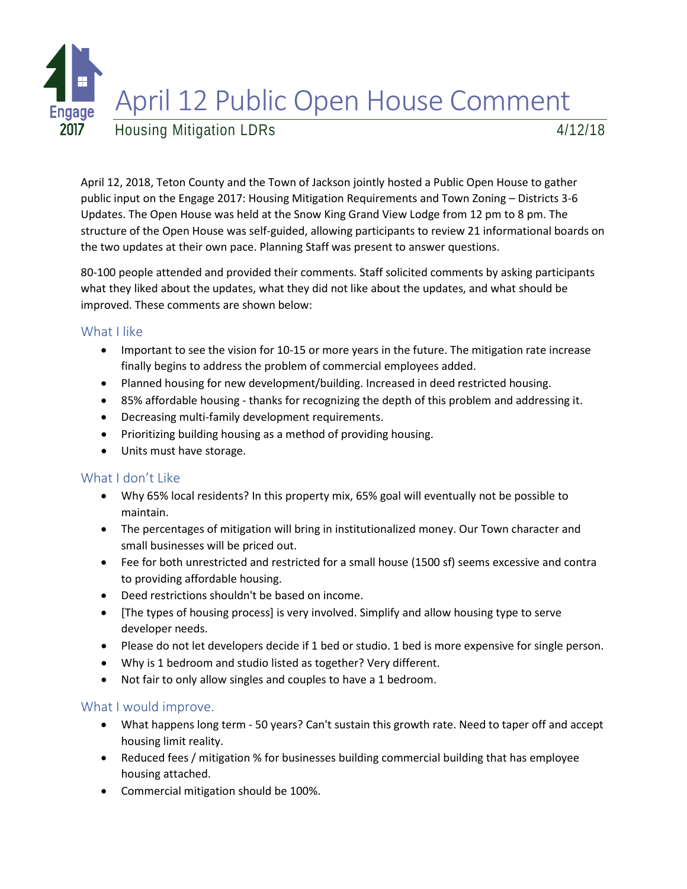April 12 Public Open House Comment Engage Housing Mitigation LDRs 4/12/18 2017

April 12, 2018, Teton County and the Town of Jackson jointly hosted a Public Open House to gather public input on the Engage 2017: Housing Mitigation Requirements and Town Zoning – Districts 3-6 Updates. The Open House was held at the Snow King Grand View Lodge from 12 pm to 8 pm. The structure of the Open House was self-guided, allowing participants to review 21 informational boards on the two updates at their own pace. Planning Staff was present to answer questions.

80-100 people attended and provided their comments. Staff solicited comments by asking participants what they liked about the updates, what they did not like about the updates, and what should be improved. These comments are shown below:

## What I like

- Important to see the vision for 10-15 or more years in the future. The mitigation rate increase finally begins to address the problem of commercial employees added.
- Planned housing for new development/building. Increased in deed restricted housing.
- 85% affordable housing thanks for recognizing the depth of this problem and addressing it.
- Decreasing multi-family development requirements.
- Prioritizing building housing as a method of providing housing.
- Units must have storage.

## What I don't Like

- Why 65% local residents? In this property mix, 65% goal will eventually not be possible to maintain.
- The percentages of mitigation will bring in institutionalized money. Our Town character and small businesses will be priced out.
- Fee for both unrestricted and restricted for a small house (1500 sf) seems excessive and contra to providing affordable housing.
- Deed restrictions shouldn't be based on income.
- [The types of housing process] is very involved. Simplify and allow housing type to serve developer needs.
- Please do not let developers decide if 1 bed or studio. 1 bed is more expensive for single person.
- Why is 1 bedroom and studio listed as together? Very different.
- Not fair to only allow singles and couples to have a 1 bedroom.

## What I would improve.

- What happens long term 50 years? Can't sustain this growth rate. Need to taper off and accept housing limit reality.
- Reduced fees / mitigation % for businesses building commercial building that has employee housing attached.
- Commercial mitigation should be 100%.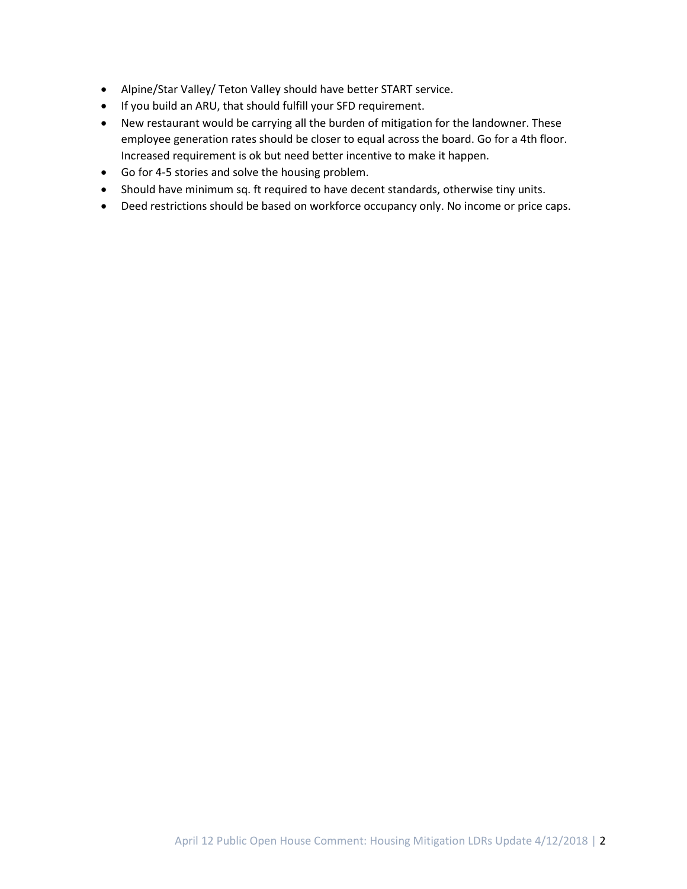- Alpine/Star Valley/ Teton Valley should have better START service.
- If you build an ARU, that should fulfill your SFD requirement.
- New restaurant would be carrying all the burden of mitigation for the landowner. These employee generation rates should be closer to equal across the board. Go for a 4th floor. Increased requirement is ok but need better incentive to make it happen.
- Go for 4-5 stories and solve the housing problem.
- Should have minimum sq. ft required to have decent standards, otherwise tiny units.
- Deed restrictions should be based on workforce occupancy only. No income or price caps.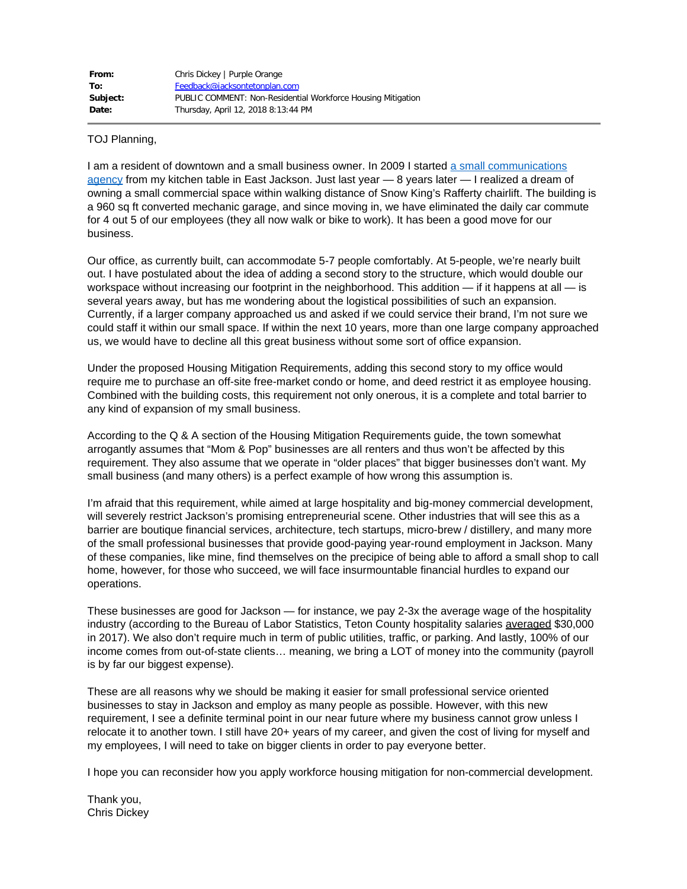TOJ Planning,

I am a resident of downtown and a small business owner. In 2009 I started [a small communications](http://peeltheorange.com/) [agency](http://peeltheorange.com/) from my kitchen table in East Jackson. Just last year - 8 years later - I realized a dream of owning a small commercial space within walking distance of Snow King's Rafferty chairlift. The building is a 960 sq ft converted mechanic garage, and since moving in, we have eliminated the daily car commute for 4 out 5 of our employees (they all now walk or bike to work). It has been a good move for our business.

Our office, as currently built, can accommodate 5-7 people comfortably. At 5-people, we're nearly built out. I have postulated about the idea of adding a second story to the structure, which would double our workspace without increasing our footprint in the neighborhood. This addition — if it happens at all — is several years away, but has me wondering about the logistical possibilities of such an expansion. Currently, if a larger company approached us and asked if we could service their brand, I'm not sure we could staff it within our small space. If within the next 10 years, more than one large company approached us, we would have to decline all this great business without some sort of office expansion.

Under the proposed Housing Mitigation Requirements, adding this second story to my office would require me to purchase an off-site free-market condo or home, and deed restrict it as employee housing. Combined with the building costs, this requirement not only onerous, it is a complete and total barrier to any kind of expansion of my small business.

According to the Q & A section of the Housing Mitigation Requirements guide, the town somewhat arrogantly assumes that "Mom & Pop" businesses are all renters and thus won't be affected by this requirement. They also assume that we operate in "older places" that bigger businesses don't want. My small business (and many others) is a perfect example of how wrong this assumption is.

I'm afraid that this requirement, while aimed at large hospitality and big-money commercial development, will severely restrict Jackson's promising entrepreneurial scene. Other industries that will see this as a barrier are boutique financial services, architecture, tech startups, micro-brew / distillery, and many more of the small professional businesses that provide good-paying year-round employment in Jackson. Many of these companies, like mine, find themselves on the precipice of being able to afford a small shop to call home, however, for those who succeed, we will face insurmountable financial hurdles to expand our operations.

These businesses are good for Jackson — for instance, we pay 2-3x the average wage of the hospitality industry (according to the Bureau of Labor Statistics, Teton County hospitality salaries averaged \$30,000 in 2017). We also don't require much in term of public utilities, traffic, or parking. And lastly, 100% of our income comes from out-of-state clients… meaning, we bring a LOT of money into the community (payroll is by far our biggest expense).

These are all reasons why we should be making it easier for small professional service oriented businesses to stay in Jackson and employ as many people as possible. However, with this new requirement, I see a definite terminal point in our near future where my business cannot grow unless I relocate it to another town. I still have 20+ years of my career, and given the cost of living for myself and my employees, I will need to take on bigger clients in order to pay everyone better.

I hope you can reconsider how you apply workforce housing mitigation for non-commercial development.

Thank you, Chris Dickey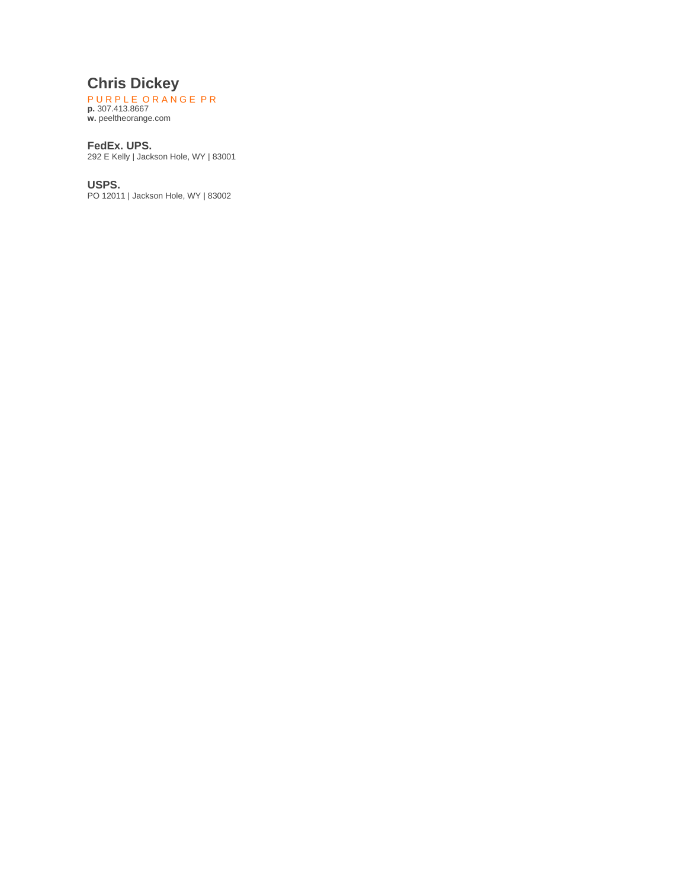# **Chris Dickey**

#### P U R P L E O R A N G E P R **p.** 307.413.8667

**w.** peeltheorange.com

#### **FedEx. UPS.**

292 E Kelly | Jackson Hole, WY | 83001

#### **USPS.**

PO 12011 | Jackson Hole, WY | 83002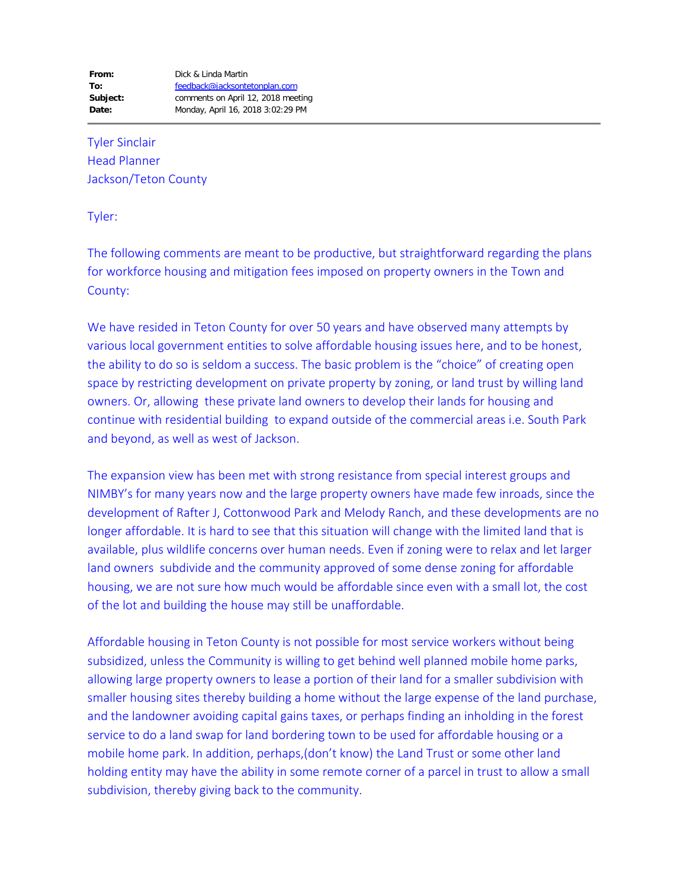Tyler Sinclair Head Planner Jackson/Teton County

Tyler:

The following comments are meant to be productive, but straightforward regarding the plans for workforce housing and mitigation fees imposed on property owners in the Town and County:

We have resided in Teton County for over 50 years and have observed many attempts by various local government entities to solve affordable housing issues here, and to be honest, the ability to do so is seldom a success. The basic problem is the "choice" of creating open space by restricting development on private property by zoning, or land trust by willing land owners. Or, allowing these private land owners to develop their lands for housing and continue with residential building to expand outside of the commercial areas i.e. South Park and beyond, as well as west of Jackson.

The expansion view has been met with strong resistance from special interest groups and NIMBY's for many years now and the large property owners have made few inroads, since the development of Rafter J, Cottonwood Park and Melody Ranch, and these developments are no longer affordable. It is hard to see that this situation will change with the limited land that is available, plus wildlife concerns over human needs. Even if zoning were to relax and let larger land owners subdivide and the community approved of some dense zoning for affordable housing, we are not sure how much would be affordable since even with a small lot, the cost of the lot and building the house may still be unaffordable.

Affordable housing in Teton County is not possible for most service workers without being subsidized, unless the Community is willing to get behind well planned mobile home parks, allowing large property owners to lease a portion of their land for a smaller subdivision with smaller housing sites thereby building a home without the large expense of the land purchase, and the landowner avoiding capital gains taxes, or perhaps finding an inholding in the forest service to do a land swap for land bordering town to be used for affordable housing or a mobile home park. In addition, perhaps,(don't know) the Land Trust or some other land holding entity may have the ability in some remote corner of a parcel in trust to allow a small subdivision, thereby giving back to the community.